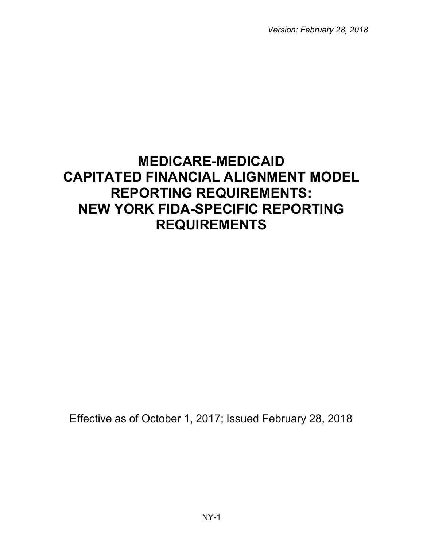*Version: February 28, 2018*

# **MEDICARE-MEDICAID CAPITATED FINANCIAL ALIGNMENT MODEL REPORTING REQUIREMENTS: NEW YORK FIDA-SPECIFIC REPORTING REQUIREMENTS**

Effective as of October 1, 2017; Issued February 28, 2018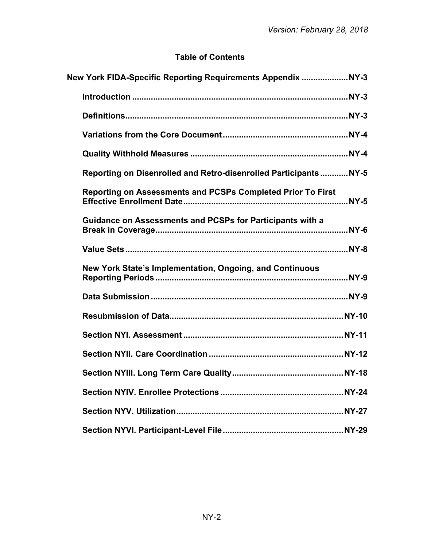# **Table of Contents**

| New York FIDA-Specific Reporting Requirements Appendix NY-3        |
|--------------------------------------------------------------------|
|                                                                    |
|                                                                    |
|                                                                    |
|                                                                    |
| Reporting on Disenrolled and Retro-disenrolled Participants NY-5   |
| <b>Reporting on Assessments and PCSPs Completed Prior To First</b> |
| <b>Guidance on Assessments and PCSPs for Participants with a</b>   |
|                                                                    |
| New York State's Implementation, Ongoing, and Continuous           |
|                                                                    |
|                                                                    |
|                                                                    |
|                                                                    |
|                                                                    |
|                                                                    |
|                                                                    |
|                                                                    |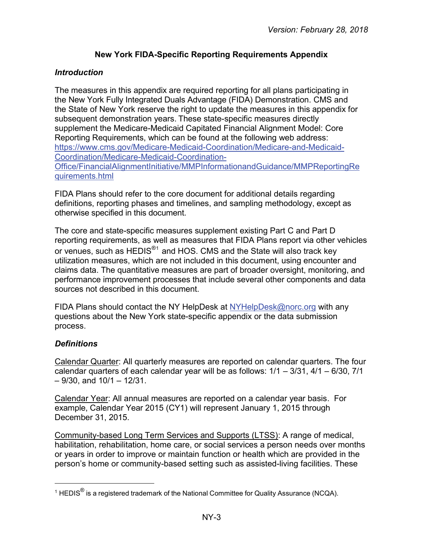# **New York FIDA-Specific Reporting Requirements Appendix**

# <span id="page-2-1"></span><span id="page-2-0"></span>*Introduction*

The measures in this appendix are required reporting for all plans participating in the New York Fully Integrated Duals Advantage (FIDA) Demonstration. CMS and the State of New York reserve the right to update the measures in this appendix for subsequent demonstration years. These state-specific measures directly supplement the Medicare-Medicaid Capitated Financial Alignment Model: Core Reporting Requirements, which can be found at the following web address: [https://www.cms.gov/Medicare-Medicaid-Coordination/Medicare-and-Medicaid-](https://www.cms.gov/Medicare-Medicaid-Coordination/Medicare-and-Medicaid-Coordination/Medicare-Medicaid-Coordination-Office/FinancialAlignmentInitiative/MMPInformationandGuidance/MMPReportingRequirements.html)[Coordination/Medicare-Medicaid-Coordination-](https://www.cms.gov/Medicare-Medicaid-Coordination/Medicare-and-Medicaid-Coordination/Medicare-Medicaid-Coordination-Office/FinancialAlignmentInitiative/MMPInformationandGuidance/MMPReportingRequirements.html)[Office/FinancialAlignmentInitiative/MMPInformationandGuidance/MMPReportingRe](https://www.cms.gov/Medicare-Medicaid-Coordination/Medicare-and-Medicaid-Coordination/Medicare-Medicaid-Coordination-Office/FinancialAlignmentInitiative/MMPInformationandGuidance/MMPReportingRequirements.html) [quirements.html](https://www.cms.gov/Medicare-Medicaid-Coordination/Medicare-and-Medicaid-Coordination/Medicare-Medicaid-Coordination-Office/FinancialAlignmentInitiative/MMPInformationandGuidance/MMPReportingRequirements.html)

FIDA Plans should refer to the core document for additional details regarding definitions, reporting phases and timelines, and sampling methodology, except as otherwise specified in this document.

The core and state-specific measures supplement existing Part C and Part D reporting requirements, as well as measures that FIDA Plans report via other vehicles or venues, such as HEDIS<sup>®[1](#page-2-3)</sup> and HOS. CMS and the State will also track key utilization measures, which are not included in this document, using encounter and claims data. The quantitative measures are part of broader oversight, monitoring, and performance improvement processes that include several other components and data sources not described in this document.

FIDA Plans should contact the NY HelpDesk at [NYHelpDesk@norc.org](mailto:NYHelpDesk@norc.org) with any questions about the New York state-specific appendix or the data submission process.

# <span id="page-2-2"></span>*Definitions*

l

Calendar Quarter: All quarterly measures are reported on calendar quarters. The four calendar quarters of each calendar year will be as follows:  $1/1 - 3/31$ ,  $4/1 - 6/30$ ,  $7/1$  $-9/30$ , and  $10/1 - 12/31$ .

Calendar Year: All annual measures are reported on a calendar year basis. For example, Calendar Year 2015 (CY1) will represent January 1, 2015 through December 31, 2015.

Community-based Long Term Services and Supports (LTSS): A range of medical, habilitation, rehabilitation, home care, or social services a person needs over months or years in order to improve or maintain function or health which are provided in the person's home or community-based setting such as assisted-living facilities. These

<span id="page-2-3"></span><sup>&</sup>lt;sup>1</sup> HEDIS<sup>®</sup> is a registered trademark of the National Committee for Quality Assurance (NCQA).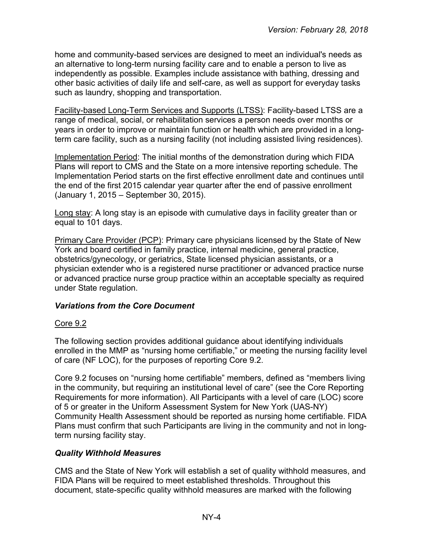home and community-based services are designed to meet an individual's needs as an alternative to long-term nursing facility care and to enable a person to live as independently as possible. Examples include assistance with bathing, dressing and other basic activities of daily life and self-care, as well as support for everyday tasks such as laundry, shopping and transportation.

Facility-based Long-Term Services and Supports (LTSS): Facility-based LTSS are a range of medical, social, or rehabilitation services a person needs over months or years in order to improve or maintain function or health which are provided in a longterm care facility, such as a nursing facility (not including assisted living residences).

Implementation Period: The initial months of the demonstration during which FIDA Plans will report to CMS and the State on a more intensive reporting schedule. The Implementation Period starts on the first effective enrollment date and continues until the end of the first 2015 calendar year quarter after the end of passive enrollment (January 1, 2015 – September 30, 2015).

Long stay: A long stay is an episode with cumulative days in facility greater than or equal to 101 days.

Primary Care Provider (PCP): Primary care physicians licensed by the State of New York and board certified in family practice, internal medicine, general practice, obstetrics/gynecology, or geriatrics, State licensed physician assistants, or a physician extender who is a registered nurse practitioner or advanced practice nurse or advanced practice nurse group practice within an acceptable specialty as required under State regulation.

# <span id="page-3-0"></span>*Variations from the Core Document*

#### Core 9.2

The following section provides additional guidance about identifying individuals enrolled in the MMP as "nursing home certifiable," or meeting the nursing facility level of care (NF LOC), for the purposes of reporting Core 9.2.

Core 9.2 focuses on "nursing home certifiable" members, defined as "members living in the community, but requiring an institutional level of care" (see the Core Reporting Requirements for more information). All Participants with a level of care (LOC) score of 5 or greater in the Uniform Assessment System for New York (UAS-NY) Community Health Assessment should be reported as nursing home certifiable. FIDA Plans must confirm that such Participants are living in the community and not in longterm nursing facility stay.

# <span id="page-3-1"></span>*Quality Withhold Measures*

CMS and the State of New York will establish a set of quality withhold measures, and FIDA Plans will be required to meet established thresholds. Throughout this document, state-specific quality withhold measures are marked with the following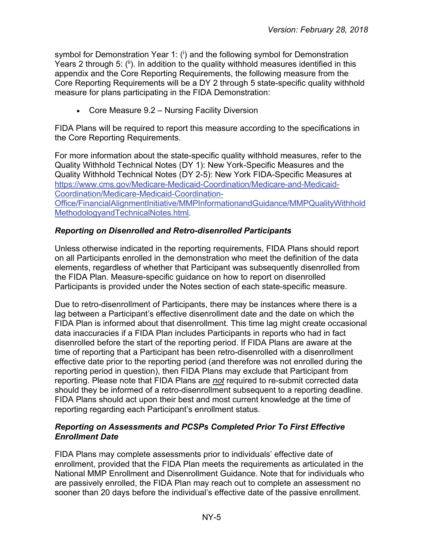symbol for Demonstration Year 1: (i) and the following symbol for Demonstration Years 2 through 5:  $(i)$ . In addition to the quality withhold measures identified in this appendix and the Core Reporting Requirements, the following measure from the Core Reporting Requirements will be a DY 2 through 5 state-specific quality withhold measure for plans participating in the FIDA Demonstration:

• Core Measure 9.2 – Nursing Facility Diversion

FIDA Plans will be required to report this measure according to the specifications in the Core Reporting Requirements.

For more information about the state-specific quality withhold measures, refer to the Quality Withhold Technical Notes (DY 1): New York-Specific Measures and the Quality Withhold Technical Notes (DY 2-5): New York FIDA-Specific Measures at [https://www.cms.gov/Medicare-Medicaid-Coordination/Medicare-and-Medicaid-](https://www.cms.gov/Medicare-Medicaid-Coordination/Medicare-and-Medicaid-Coordination/Medicare-Medicaid-Coordination-Office/FinancialAlignmentInitiative/MMPInformationandGuidance/MMPQualityWithholdMethodologyandTechnicalNotes.html)[Coordination/Medicare-Medicaid-Coordination-](https://www.cms.gov/Medicare-Medicaid-Coordination/Medicare-and-Medicaid-Coordination/Medicare-Medicaid-Coordination-Office/FinancialAlignmentInitiative/MMPInformationandGuidance/MMPQualityWithholdMethodologyandTechnicalNotes.html)[Office/FinancialAlignmentInitiative/MMPInformationandGuidance/MMPQualityWithhold](https://www.cms.gov/Medicare-Medicaid-Coordination/Medicare-and-Medicaid-Coordination/Medicare-Medicaid-Coordination-Office/FinancialAlignmentInitiative/MMPInformationandGuidance/MMPQualityWithholdMethodologyandTechnicalNotes.html) [MethodologyandTechnicalNotes.html.](https://www.cms.gov/Medicare-Medicaid-Coordination/Medicare-and-Medicaid-Coordination/Medicare-Medicaid-Coordination-Office/FinancialAlignmentInitiative/MMPInformationandGuidance/MMPQualityWithholdMethodologyandTechnicalNotes.html)

# <span id="page-4-0"></span>*Reporting on Disenrolled and Retro-disenrolled Participants*

Unless otherwise indicated in the reporting requirements, FIDA Plans should report on all Participants enrolled in the demonstration who meet the definition of the data elements, regardless of whether that Participant was subsequently disenrolled from the FIDA Plan. Measure-specific guidance on how to report on disenrolled Participants is provided under the Notes section of each state-specific measure.

Due to retro-disenrollment of Participants, there may be instances where there is a lag between a Participant's effective disenrollment date and the date on which the FIDA Plan is informed about that disenrollment. This time lag might create occasional data inaccuracies if a FIDA Plan includes Participants in reports who had in fact disenrolled before the start of the reporting period. If FIDA Plans are aware at the time of reporting that a Participant has been retro-disenrolled with a disenrollment effective date prior to the reporting period (and therefore was not enrolled during the reporting period in question), then FIDA Plans may exclude that Participant from reporting. Please note that FIDA Plans are *not* required to re-submit corrected data should they be informed of a retro-disenrollment subsequent to a reporting deadline. FIDA Plans should act upon their best and most current knowledge at the time of reporting regarding each Participant's enrollment status.

# <span id="page-4-1"></span>*Reporting on Assessments and PCSPs Completed Prior To First Effective Enrollment Date*

FIDA Plans may complete assessments prior to individuals' effective date of enrollment, provided that the FIDA Plan meets the requirements as articulated in the National MMP Enrollment and Disenrollment Guidance. Note that for individuals who are passively enrolled, the FIDA Plan may reach out to complete an assessment no sooner than 20 days before the individual's effective date of the passive enrollment.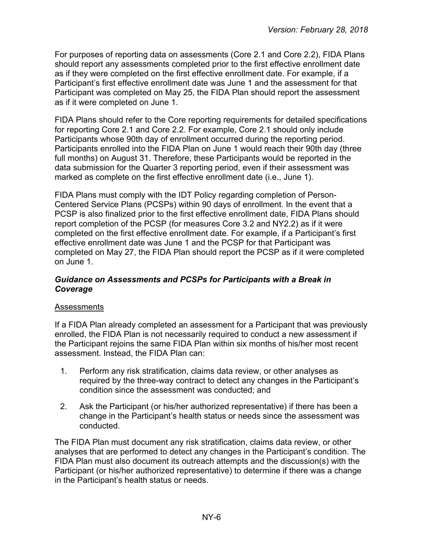For purposes of reporting data on assessments (Core 2.1 and Core 2.2), FIDA Plans should report any assessments completed prior to the first effective enrollment date as if they were completed on the first effective enrollment date. For example, if a Participant's first effective enrollment date was June 1 and the assessment for that Participant was completed on May 25, the FIDA Plan should report the assessment as if it were completed on June 1.

FIDA Plans should refer to the Core reporting requirements for detailed specifications for reporting Core 2.1 and Core 2.2. For example, Core 2.1 should only include Participants whose 90th day of enrollment occurred during the reporting period. Participants enrolled into the FIDA Plan on June 1 would reach their 90th day (three full months) on August 31. Therefore, these Participants would be reported in the data submission for the Quarter 3 reporting period, even if their assessment was marked as complete on the first effective enrollment date (i.e., June 1).

FIDA Plans must comply with the IDT Policy regarding completion of Person-Centered Service Plans (PCSPs) within 90 days of enrollment. In the event that a PCSP is also finalized prior to the first effective enrollment date, FIDA Plans should report completion of the PCSP (for measures Core 3.2 and NY2.2) as if it were completed on the first effective enrollment date. For example, if a Participant's first effective enrollment date was June 1 and the PCSP for that Participant was completed on May 27, the FIDA Plan should report the PCSP as if it were completed on June 1.

#### <span id="page-5-0"></span>*Guidance on Assessments and PCSPs for Participants with a Break in Coverage*

#### **Assessments**

If a FIDA Plan already completed an assessment for a Participant that was previously enrolled, the FIDA Plan is not necessarily required to conduct a new assessment if the Participant rejoins the same FIDA Plan within six months of his/her most recent assessment. Instead, the FIDA Plan can:

- 1. Perform any risk stratification, claims data review, or other analyses as required by the three-way contract to detect any changes in the Participant's condition since the assessment was conducted; and
- 2. Ask the Participant (or his/her authorized representative) if there has been a change in the Participant's health status or needs since the assessment was conducted.

The FIDA Plan must document any risk stratification, claims data review, or other analyses that are performed to detect any changes in the Participant's condition. The FIDA Plan must also document its outreach attempts and the discussion(s) with the Participant (or his/her authorized representative) to determine if there was a change in the Participant's health status or needs.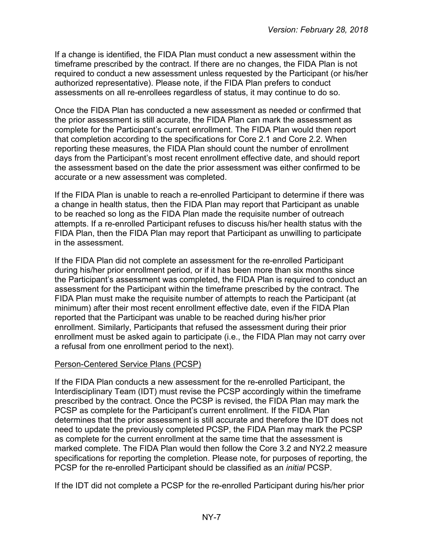If a change is identified, the FIDA Plan must conduct a new assessment within the timeframe prescribed by the contract. If there are no changes, the FIDA Plan is not required to conduct a new assessment unless requested by the Participant (or his/her authorized representative). Please note, if the FIDA Plan prefers to conduct assessments on all re-enrollees regardless of status, it may continue to do so.

Once the FIDA Plan has conducted a new assessment as needed or confirmed that the prior assessment is still accurate, the FIDA Plan can mark the assessment as complete for the Participant's current enrollment. The FIDA Plan would then report that completion according to the specifications for Core 2.1 and Core 2.2. When reporting these measures, the FIDA Plan should count the number of enrollment days from the Participant's most recent enrollment effective date, and should report the assessment based on the date the prior assessment was either confirmed to be accurate or a new assessment was completed.

If the FIDA Plan is unable to reach a re-enrolled Participant to determine if there was a change in health status, then the FIDA Plan may report that Participant as unable to be reached so long as the FIDA Plan made the requisite number of outreach attempts. If a re-enrolled Participant refuses to discuss his/her health status with the FIDA Plan, then the FIDA Plan may report that Participant as unwilling to participate in the assessment.

If the FIDA Plan did not complete an assessment for the re-enrolled Participant during his/her prior enrollment period, or if it has been more than six months since the Participant's assessment was completed, the FIDA Plan is required to conduct an assessment for the Participant within the timeframe prescribed by the contract. The FIDA Plan must make the requisite number of attempts to reach the Participant (at minimum) after their most recent enrollment effective date, even if the FIDA Plan reported that the Participant was unable to be reached during his/her prior enrollment. Similarly, Participants that refused the assessment during their prior enrollment must be asked again to participate (i.e., the FIDA Plan may not carry over a refusal from one enrollment period to the next).

#### Person-Centered Service Plans (PCSP)

If the FIDA Plan conducts a new assessment for the re-enrolled Participant, the Interdisciplinary Team (IDT) must revise the PCSP accordingly within the timeframe prescribed by the contract. Once the PCSP is revised, the FIDA Plan may mark the PCSP as complete for the Participant's current enrollment. If the FIDA Plan determines that the prior assessment is still accurate and therefore the IDT does not need to update the previously completed PCSP, the FIDA Plan may mark the PCSP as complete for the current enrollment at the same time that the assessment is marked complete. The FIDA Plan would then follow the Core 3.2 and NY2.2 measure specifications for reporting the completion. Please note, for purposes of reporting, the PCSP for the re-enrolled Participant should be classified as an *initial* PCSP.

If the IDT did not complete a PCSP for the re-enrolled Participant during his/her prior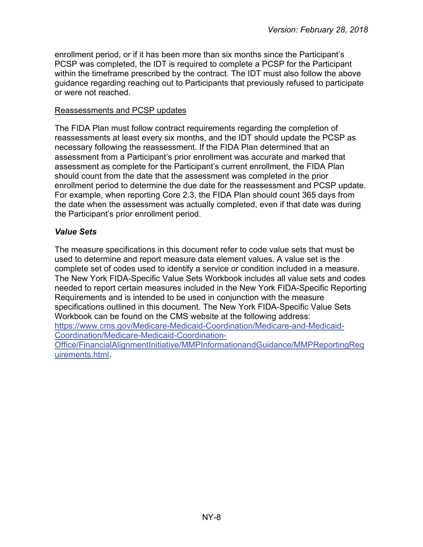enrollment period, or if it has been more than six months since the Participant's PCSP was completed, the IDT is required to complete a PCSP for the Participant within the timeframe prescribed by the contract. The IDT must also follow the above guidance regarding reaching out to Participants that previously refused to participate or were not reached.

#### Reassessments and PCSP updates

The FIDA Plan must follow contract requirements regarding the completion of reassessments at least every six months, and the IDT should update the PCSP as necessary following the reassessment. If the FIDA Plan determined that an assessment from a Participant's prior enrollment was accurate and marked that assessment as complete for the Participant's current enrollment, the FIDA Plan should count from the date that the assessment was completed in the prior enrollment period to determine the due date for the reassessment and PCSP update. For example, when reporting Core 2.3, the FIDA Plan should count 365 days from the date when the assessment was actually completed, even if that date was during the Participant's prior enrollment period.

# <span id="page-7-0"></span>*Value Sets*

The measure specifications in this document refer to code value sets that must be used to determine and report measure data element values. A value set is the complete set of codes used to identify a service or condition included in a measure. The New York FIDA-Specific Value Sets Workbook includes all value sets and codes needed to report certain measures included in the New York FIDA-Specific Reporting Requirements and is intended to be used in conjunction with the measure specifications outlined in this document. The New York FIDA-Specific Value Sets Workbook can be found on the CMS website at the following address: [https://www.cms.gov/Medicare-Medicaid-Coordination/Medicare-and-Medicaid-](https://www.cms.gov/Medicare-Medicaid-Coordination/Medicare-and-Medicaid-Coordination/Medicare-Medicaid-Coordination-Office/FinancialAlignmentInitiative/MMPInformationandGuidance/MMPReportingRequirements.html)[Coordination/Medicare-Medicaid-Coordination-](https://www.cms.gov/Medicare-Medicaid-Coordination/Medicare-and-Medicaid-Coordination/Medicare-Medicaid-Coordination-Office/FinancialAlignmentInitiative/MMPInformationandGuidance/MMPReportingRequirements.html)[Office/FinancialAlignmentInitiative/MMPInformationandGuidance/MMPReportingReq](https://www.cms.gov/Medicare-Medicaid-Coordination/Medicare-and-Medicaid-Coordination/Medicare-Medicaid-Coordination-Office/FinancialAlignmentInitiative/MMPInformationandGuidance/MMPReportingRequirements.html)

[uirements.html.](https://www.cms.gov/Medicare-Medicaid-Coordination/Medicare-and-Medicaid-Coordination/Medicare-Medicaid-Coordination-Office/FinancialAlignmentInitiative/MMPInformationandGuidance/MMPReportingRequirements.html)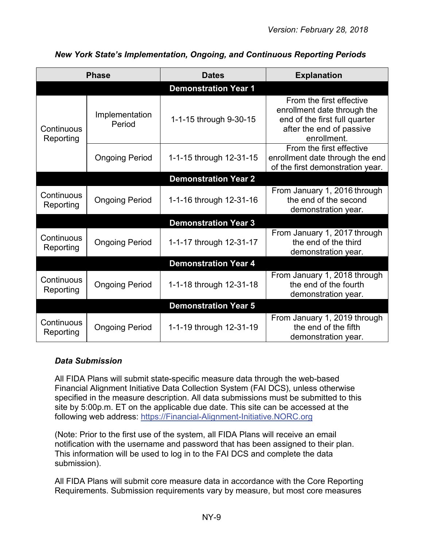<span id="page-8-0"></span>

|                         | <b>Phase</b>                | <b>Dates</b>                | <b>Explanation</b>                                                                                                                  |  |  |  |  |
|-------------------------|-----------------------------|-----------------------------|-------------------------------------------------------------------------------------------------------------------------------------|--|--|--|--|
|                         | <b>Demonstration Year 1</b> |                             |                                                                                                                                     |  |  |  |  |
| Continuous<br>Reporting | Implementation<br>Period    | 1-1-15 through 9-30-15      | From the first effective<br>enrollment date through the<br>end of the first full quarter<br>after the end of passive<br>enrollment. |  |  |  |  |
|                         | <b>Ongoing Period</b>       | 1-1-15 through 12-31-15     | From the first effective<br>enrollment date through the end<br>of the first demonstration year.                                     |  |  |  |  |
|                         |                             | <b>Demonstration Year 2</b> |                                                                                                                                     |  |  |  |  |
| Continuous<br>Reporting | <b>Ongoing Period</b>       | 1-1-16 through 12-31-16     | From January 1, 2016 through<br>the end of the second<br>demonstration year.                                                        |  |  |  |  |
|                         |                             | <b>Demonstration Year 3</b> |                                                                                                                                     |  |  |  |  |
| Continuous<br>Reporting | <b>Ongoing Period</b>       | 1-1-17 through 12-31-17     | From January 1, 2017 through<br>the end of the third<br>demonstration year.                                                         |  |  |  |  |
|                         |                             | <b>Demonstration Year 4</b> |                                                                                                                                     |  |  |  |  |
| Continuous<br>Reporting | <b>Ongoing Period</b>       | 1-1-18 through 12-31-18     | From January 1, 2018 through<br>the end of the fourth<br>demonstration year.                                                        |  |  |  |  |
|                         |                             | <b>Demonstration Year 5</b> |                                                                                                                                     |  |  |  |  |
| Continuous<br>Reporting | <b>Ongoing Period</b>       | 1-1-19 through 12-31-19     | From January 1, 2019 through<br>the end of the fifth<br>demonstration year.                                                         |  |  |  |  |

# *New York State's Implementation, Ongoing, and Continuous Reporting Periods*

# <span id="page-8-1"></span>*Data Submission*

All FIDA Plans will submit state-specific measure data through the web-based Financial Alignment Initiative Data Collection System (FAI DCS), unless otherwise specified in the measure description. All data submissions must be submitted to this site by 5:00p.m. ET on the applicable due date. This site can be accessed at the following web address: [https://Financial-Alignment-Initiative.NORC.org](https://financial-alignment-initiative.norc.org/)

(Note: Prior to the first use of the system, all FIDA Plans will receive an email notification with the username and password that has been assigned to their plan. This information will be used to log in to the FAI DCS and complete the data submission).

All FIDA Plans will submit core measure data in accordance with the Core Reporting Requirements. Submission requirements vary by measure, but most core measures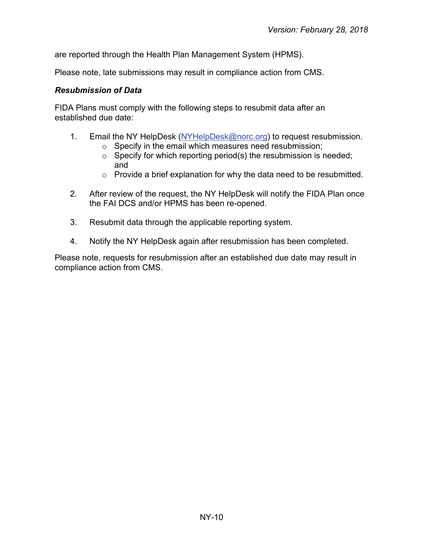are reported through the Health Plan Management System (HPMS).

Please note, late submissions may result in compliance action from CMS.

#### <span id="page-9-0"></span>*Resubmission of Data*

FIDA Plans must comply with the following steps to resubmit data after an established due date:

- 1. Email the NY HelpDesk [\(NYHelpDesk@norc.org\)](mailto:NYHelpDesk@norc.org) to request resubmission.
	- o Specify in the email which measures need resubmission;
	- $\circ$  Specify for which reporting period(s) the resubmission is needed; and
	- $\circ$  Provide a brief explanation for why the data need to be resubmitted.
- 2. After review of the request, the NY HelpDesk will notify the FIDA Plan once the FAI DCS and/or HPMS has been re-opened.
- 3. Resubmit data through the applicable reporting system.
- 4. Notify the NY HelpDesk again after resubmission has been completed.

Please note, requests for resubmission after an established due date may result in compliance action from CMS.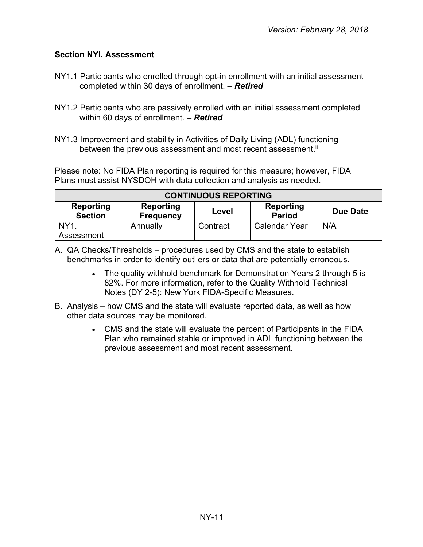# <span id="page-10-0"></span>**Section NYI. Assessment**

- NY1.1 Participants who enrolled through opt-in enrollment with an initial assessment completed within 30 days of enrollment. – *Retired*
- NY1.2 Participants who are passively enrolled with an initial assessment completed within 60 days of enrollment. – *Retired*
- NY1.3 Improvement and stability in Activities of Daily Living (ADL) functioning between the previous assessment and most recent assessment. $^{\text{\tiny{\textsf{i}}}}$

Please note: No FIDA Plan reporting is required for this measure; however, FIDA Plans must assist NYSDOH with data collection and analysis as needed.

| <b>CONTINUOUS REPORTING</b> |                                      |          |                            |          |  |
|-----------------------------|--------------------------------------|----------|----------------------------|----------|--|
| Reporting<br><b>Section</b> | <b>Reporting</b><br><b>Frequency</b> | Level    | Reporting<br><b>Period</b> | Due Date |  |
| NY <sub>1</sub>             | Annually                             | Contract | <b>Calendar Year</b>       | N/A      |  |
| Assessment                  |                                      |          |                            |          |  |

- A. QA Checks/Thresholds procedures used by CMS and the state to establish benchmarks in order to identify outliers or data that are potentially erroneous.
	- The quality withhold benchmark for Demonstration Years 2 through 5 is 82%. For more information, refer to the Quality Withhold Technical Notes (DY 2-5): New York FIDA-Specific Measures.
- B. Analysis how CMS and the state will evaluate reported data, as well as how other data sources may be monitored.
	- CMS and the state will evaluate the percent of Participants in the FIDA Plan who remained stable or improved in ADL functioning between the previous assessment and most recent assessment.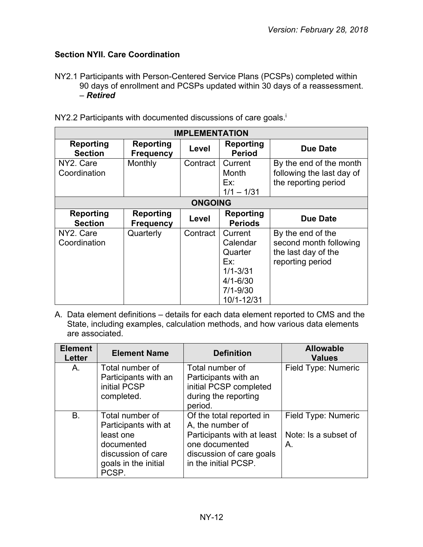# <span id="page-11-0"></span>**Section NYII. Care Coordination**

NY2.1 Participants with Person-Centered Service Plans (PCSPs) completed within 90 days of enrollment and PCSPs updated within 30 days of a reassessment. – *Retired*

| <b>IMPLEMENTATION</b>       |                                      |          |                                                                                                     |                                                                                        |  |
|-----------------------------|--------------------------------------|----------|-----------------------------------------------------------------------------------------------------|----------------------------------------------------------------------------------------|--|
| Reporting<br><b>Section</b> | <b>Reporting</b><br><b>Frequency</b> | Level    | Reporting<br><b>Period</b>                                                                          | <b>Due Date</b>                                                                        |  |
| NY2. Care<br>Coordination   | Monthly                              | Contract | Current<br>Month<br>Ex:<br>$1/1 - 1/31$                                                             | By the end of the month<br>following the last day of<br>the reporting period           |  |
|                             | <b>ONGOING</b>                       |          |                                                                                                     |                                                                                        |  |
| Reporting<br><b>Section</b> | <b>Reporting</b><br><b>Frequency</b> | Level    | <b>Reporting</b><br><b>Periods</b>                                                                  | <b>Due Date</b>                                                                        |  |
| NY2. Care<br>Coordination   | Quarterly                            | Contract | Current<br>Calendar<br>Quarter<br>Ex:<br>$1/1 - 3/31$<br>$4/1 - 6/30$<br>$7/1 - 9/30$<br>10/1-12/31 | By the end of the<br>second month following<br>the last day of the<br>reporting period |  |

NY2.2 Participants with documented discussions of care goals.<sup>i</sup>

| <b>Element</b><br><b>Letter</b> | <b>Element Name</b>                                                                                                       | <b>Definition</b>                                                                                                                                | <b>Allowable</b><br><b>Values</b>                 |
|---------------------------------|---------------------------------------------------------------------------------------------------------------------------|--------------------------------------------------------------------------------------------------------------------------------------------------|---------------------------------------------------|
| A.                              | Total number of<br>Participants with an<br>initial PCSP<br>completed.                                                     | Total number of<br>Participants with an<br>initial PCSP completed<br>during the reporting<br>period.                                             | Field Type: Numeric                               |
| <b>B.</b>                       | Total number of<br>Participants with at<br>least one<br>documented<br>discussion of care<br>goals in the initial<br>PCSP. | Of the total reported in<br>A, the number of<br>Participants with at least<br>one documented<br>discussion of care goals<br>in the initial PCSP. | Field Type: Numeric<br>Note: Is a subset of<br>А. |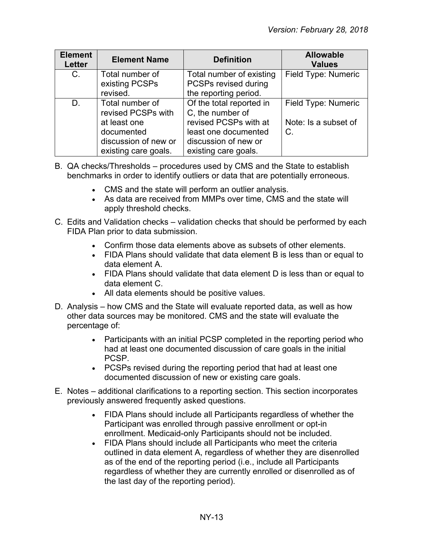| <b>Element</b><br><b>Letter</b> | <b>Element Name</b>                                                                                                 | <b>Definition</b>                                                                                                                             | <b>Allowable</b><br><b>Values</b>                 |
|---------------------------------|---------------------------------------------------------------------------------------------------------------------|-----------------------------------------------------------------------------------------------------------------------------------------------|---------------------------------------------------|
| $C_{\cdot}$                     | Total number of<br>existing PCSPs<br>revised.                                                                       | Total number of existing<br>PCSPs revised during<br>the reporting period.                                                                     | Field Type: Numeric                               |
| D.                              | Total number of<br>revised PCSPs with<br>at least one<br>documented<br>discussion of new or<br>existing care goals. | Of the total reported in<br>C, the number of<br>revised PCSPs with at<br>least one documented<br>discussion of new or<br>existing care goals. | Field Type: Numeric<br>Note: Is a subset of<br>C. |

- B. QA checks/Thresholds procedures used by CMS and the State to establish benchmarks in order to identify outliers or data that are potentially erroneous.
	- CMS and the state will perform an outlier analysis.
	- As data are received from MMPs over time, CMS and the state will apply threshold checks.
- C. Edits and Validation checks validation checks that should be performed by each FIDA Plan prior to data submission.
	- Confirm those data elements above as subsets of other elements.
	- FIDA Plans should validate that data element B is less than or equal to data element A.
	- FIDA Plans should validate that data element D is less than or equal to data element C.
	- All data elements should be positive values.
- D. Analysis how CMS and the State will evaluate reported data, as well as how other data sources may be monitored. CMS and the state will evaluate the percentage of:
	- Participants with an initial PCSP completed in the reporting period who had at least one documented discussion of care goals in the initial PCSP.
	- PCSPs revised during the reporting period that had at least one documented discussion of new or existing care goals.
- E. Notes additional clarifications to a reporting section. This section incorporates previously answered frequently asked questions.
	- FIDA Plans should include all Participants regardless of whether the Participant was enrolled through passive enrollment or opt-in enrollment. Medicaid-only Participants should not be included.
	- FIDA Plans should include all Participants who meet the criteria outlined in data element A, regardless of whether they are disenrolled as of the end of the reporting period (i.e., include all Participants regardless of whether they are currently enrolled or disenrolled as of the last day of the reporting period).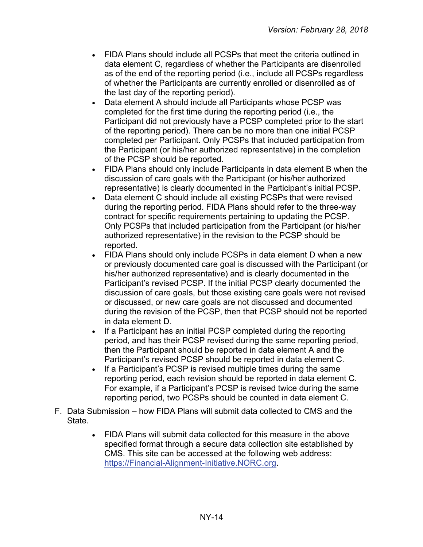- FIDA Plans should include all PCSPs that meet the criteria outlined in data element C, regardless of whether the Participants are disenrolled as of the end of the reporting period (i.e., include all PCSPs regardless of whether the Participants are currently enrolled or disenrolled as of the last day of the reporting period).
- Data element A should include all Participants whose PCSP was completed for the first time during the reporting period (i.e., the Participant did not previously have a PCSP completed prior to the start of the reporting period). There can be no more than one initial PCSP completed per Participant. Only PCSPs that included participation from the Participant (or his/her authorized representative) in the completion of the PCSP should be reported.
- FIDA Plans should only include Participants in data element B when the discussion of care goals with the Participant (or his/her authorized representative) is clearly documented in the Participant's initial PCSP.
- Data element C should include all existing PCSPs that were revised during the reporting period. FIDA Plans should refer to the three-way contract for specific requirements pertaining to updating the PCSP. Only PCSPs that included participation from the Participant (or his/her authorized representative) in the revision to the PCSP should be reported.
- FIDA Plans should only include PCSPs in data element D when a new or previously documented care goal is discussed with the Participant (or his/her authorized representative) and is clearly documented in the Participant's revised PCSP. If the initial PCSP clearly documented the discussion of care goals, but those existing care goals were not revised or discussed, or new care goals are not discussed and documented during the revision of the PCSP, then that PCSP should not be reported in data element D.
- If a Participant has an initial PCSP completed during the reporting period, and has their PCSP revised during the same reporting period, then the Participant should be reported in data element A and the Participant's revised PCSP should be reported in data element C.
- If a Participant's PCSP is revised multiple times during the same reporting period, each revision should be reported in data element C. For example, if a Participant's PCSP is revised twice during the same reporting period, two PCSPs should be counted in data element C.
- F. Data Submission how FIDA Plans will submit data collected to CMS and the State.
	- FIDA Plans will submit data collected for this measure in the above specified format through a secure data collection site established by CMS. This site can be accessed at the following web address: [https://Financial-Alignment-Initiative.NORC.org.](https://financial-alignment-initiative.norc.org/)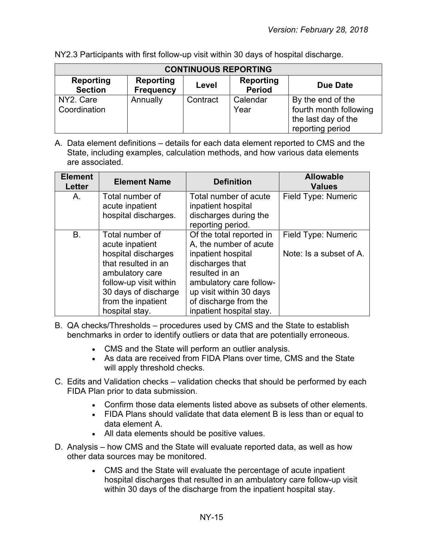| <b>CONTINUOUS REPORTING</b> |                                      |          |                            |                                                                                        |  |
|-----------------------------|--------------------------------------|----------|----------------------------|----------------------------------------------------------------------------------------|--|
| Reporting<br><b>Section</b> | <b>Reporting</b><br><b>Frequency</b> | Level    | Reporting<br><b>Period</b> | <b>Due Date</b>                                                                        |  |
| NY2. Care<br>Coordination   | Annually                             | Contract | Calendar<br>Year           | By the end of the<br>fourth month following<br>the last day of the<br>reporting period |  |

NY2.3 Participants with first follow-up visit within 30 days of hospital discharge.

| <b>Element</b><br><b>Letter</b> | <b>Element Name</b>                                                                                                                                                                           | <b>Definition</b>                                                                                                                                                                                                        | <b>Allowable</b><br><b>Values</b>              |
|---------------------------------|-----------------------------------------------------------------------------------------------------------------------------------------------------------------------------------------------|--------------------------------------------------------------------------------------------------------------------------------------------------------------------------------------------------------------------------|------------------------------------------------|
| A.                              | Total number of<br>acute inpatient<br>hospital discharges.                                                                                                                                    | Total number of acute<br>inpatient hospital<br>discharges during the<br>reporting period.                                                                                                                                | Field Type: Numeric                            |
| B.                              | Total number of<br>acute inpatient<br>hospital discharges<br>that resulted in an<br>ambulatory care<br>follow-up visit within<br>30 days of discharge<br>from the inpatient<br>hospital stay. | Of the total reported in<br>A, the number of acute<br>inpatient hospital<br>discharges that<br>resulted in an<br>ambulatory care follow-<br>up visit within 30 days<br>of discharge from the<br>inpatient hospital stay. | Field Type: Numeric<br>Note: Is a subset of A. |

- B. QA checks/Thresholds procedures used by CMS and the State to establish benchmarks in order to identify outliers or data that are potentially erroneous.
	- CMS and the State will perform an outlier analysis.
	- As data are received from FIDA Plans over time, CMS and the State will apply threshold checks.
- C. Edits and Validation checks validation checks that should be performed by each FIDA Plan prior to data submission.
	- Confirm those data elements listed above as subsets of other elements.
	- FIDA Plans should validate that data element B is less than or equal to data element A.
	- All data elements should be positive values.
- D. Analysis how CMS and the State will evaluate reported data, as well as how other data sources may be monitored.
	- CMS and the State will evaluate the percentage of acute inpatient hospital discharges that resulted in an ambulatory care follow-up visit within 30 days of the discharge from the inpatient hospital stay.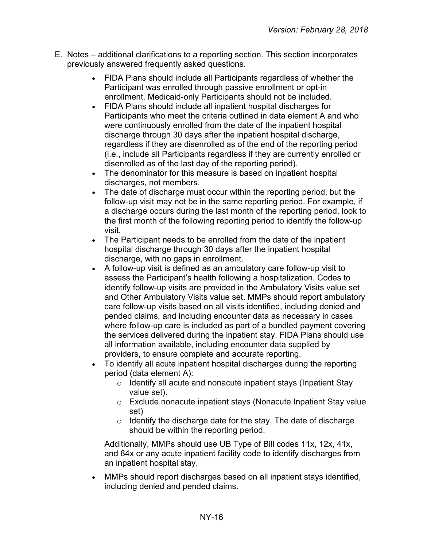- E. Notes additional clarifications to a reporting section. This section incorporates previously answered frequently asked questions.
	- FIDA Plans should include all Participants regardless of whether the Participant was enrolled through passive enrollment or opt-in enrollment. Medicaid-only Participants should not be included.
	- FIDA Plans should include all inpatient hospital discharges for Participants who meet the criteria outlined in data element A and who were continuously enrolled from the date of the inpatient hospital discharge through 30 days after the inpatient hospital discharge, regardless if they are disenrolled as of the end of the reporting period (i.e., include all Participants regardless if they are currently enrolled or disenrolled as of the last day of the reporting period).
	- The denominator for this measure is based on inpatient hospital discharges, not members.
	- The date of discharge must occur within the reporting period, but the follow-up visit may not be in the same reporting period. For example, if a discharge occurs during the last month of the reporting period, look to the first month of the following reporting period to identify the follow-up visit.
	- The Participant needs to be enrolled from the date of the inpatient hospital discharge through 30 days after the inpatient hospital discharge, with no gaps in enrollment.
	- A follow-up visit is defined as an ambulatory care follow-up visit to assess the Participant's health following a hospitalization. Codes to identify follow-up visits are provided in the Ambulatory Visits value set and Other Ambulatory Visits value set. MMPs should report ambulatory care follow-up visits based on all visits identified, including denied and pended claims, and including encounter data as necessary in cases where follow-up care is included as part of a bundled payment covering the services delivered during the inpatient stay. FIDA Plans should use all information available, including encounter data supplied by providers, to ensure complete and accurate reporting.
	- To identify all acute inpatient hospital discharges during the reporting period (data element A):
		- o Identify all acute and nonacute inpatient stays (Inpatient Stay value set).
		- o Exclude nonacute inpatient stays (Nonacute Inpatient Stay value set)
		- $\circ$  Identify the discharge date for the stay. The date of discharge should be within the reporting period.

Additionally, MMPs should use UB Type of Bill codes 11x, 12x, 41x, and 84x or any acute inpatient facility code to identify discharges from an inpatient hospital stay.

• MMPs should report discharges based on all inpatient stays identified, including denied and pended claims.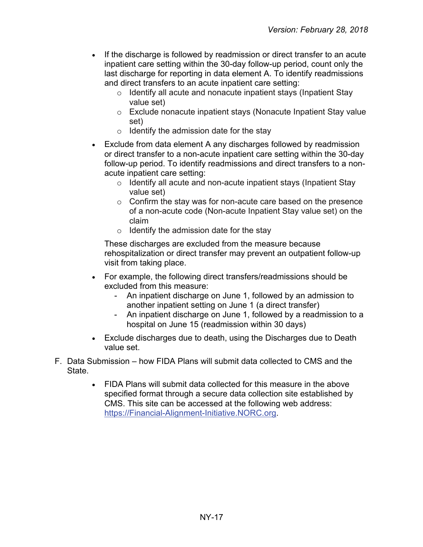- If the discharge is followed by readmission or direct transfer to an acute inpatient care setting within the 30-day follow-up period, count only the last discharge for reporting in data element A. To identify readmissions and direct transfers to an acute inpatient care setting:
	- $\circ$  Identify all acute and nonacute inpatient stays (Inpatient Stay value set)
	- o Exclude nonacute inpatient stays (Nonacute Inpatient Stay value set)
	- $\circ$  Identify the admission date for the stay
- Exclude from data element A any discharges followed by readmission or direct transfer to a non-acute inpatient care setting within the 30-day follow-up period. To identify readmissions and direct transfers to a nonacute inpatient care setting:
	- o Identify all acute and non-acute inpatient stays (Inpatient Stay value set)
	- $\circ$  Confirm the stay was for non-acute care based on the presence of a non-acute code (Non-acute Inpatient Stay value set) on the claim
	- $\circ$  Identify the admission date for the stay

These discharges are excluded from the measure because rehospitalization or direct transfer may prevent an outpatient follow-up visit from taking place.

- For example, the following direct transfers/readmissions should be excluded from this measure:
	- An inpatient discharge on June 1, followed by an admission to another inpatient setting on June 1 (a direct transfer)
	- An inpatient discharge on June 1, followed by a readmission to a hospital on June 15 (readmission within 30 days)
- Exclude discharges due to death, using the Discharges due to Death value set.
- F. Data Submission how FIDA Plans will submit data collected to CMS and the State.
	- FIDA Plans will submit data collected for this measure in the above specified format through a secure data collection site established by CMS. This site can be accessed at the following web address: [https://Financial-Alignment-Initiative.NORC.org.](https://financial-alignment-initiative.norc.org/)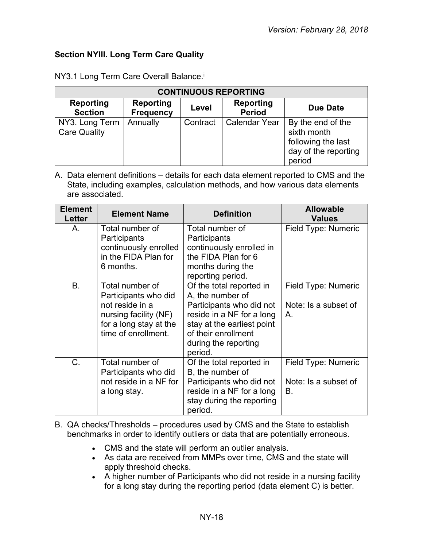# <span id="page-17-0"></span>**Section NYIII. Long Term Care Quality**

| <b>CONTINUOUS REPORTING</b>           |                                      |          |                                   |                                                                                          |  |
|---------------------------------------|--------------------------------------|----------|-----------------------------------|------------------------------------------------------------------------------------------|--|
| <b>Reporting</b><br><b>Section</b>    | <b>Reporting</b><br><b>Frequency</b> | Level    | <b>Reporting</b><br><b>Period</b> | Due Date                                                                                 |  |
| NY3. Long Term<br><b>Care Quality</b> | Annually                             | Contract | <b>Calendar Year</b>              | By the end of the<br>sixth month<br>following the last<br>day of the reporting<br>period |  |

NY3.1 Long Term Care Overall Balance.<sup>i</sup>

| <b>Element</b><br><b>Letter</b> | <b>Element Name</b>                                                                                                                  | <b>Definition</b>                                                                                                                                                                             | <b>Allowable</b><br><b>Values</b>                 |
|---------------------------------|--------------------------------------------------------------------------------------------------------------------------------------|-----------------------------------------------------------------------------------------------------------------------------------------------------------------------------------------------|---------------------------------------------------|
| А.                              | Total number of<br>Participants<br>continuously enrolled<br>in the FIDA Plan for<br>6 months.                                        | Total number of<br>Participants<br>continuously enrolled in<br>the FIDA Plan for 6<br>months during the<br>reporting period.                                                                  | Field Type: Numeric                               |
| <b>B.</b>                       | Total number of<br>Participants who did<br>not reside in a<br>nursing facility (NF)<br>for a long stay at the<br>time of enrollment. | Of the total reported in<br>A, the number of<br>Participants who did not<br>reside in a NF for a long<br>stay at the earliest point<br>of their enrollment<br>during the reporting<br>period. | Field Type: Numeric<br>Note: Is a subset of<br>Α. |
| C.                              | Total number of<br>Participants who did<br>not reside in a NF for<br>a long stay.                                                    | Of the total reported in<br>B, the number of<br>Participants who did not<br>reside in a NF for a long<br>stay during the reporting<br>period.                                                 | Field Type: Numeric<br>Note: Is a subset of<br>В. |

- B. QA checks/Thresholds procedures used by CMS and the State to establish benchmarks in order to identify outliers or data that are potentially erroneous.
	- CMS and the state will perform an outlier analysis.
	- As data are received from MMPs over time, CMS and the state will apply threshold checks.
	- A higher number of Participants who did not reside in a nursing facility for a long stay during the reporting period (data element C) is better.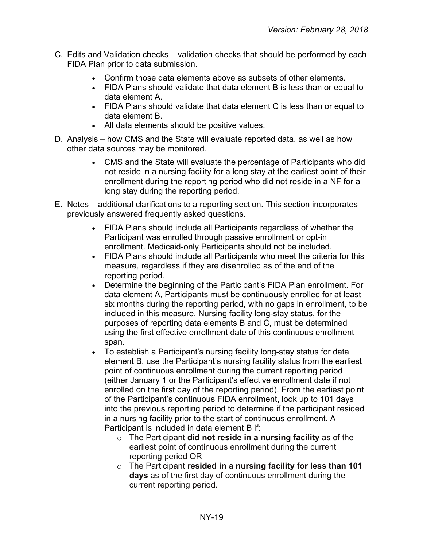- C. Edits and Validation checks validation checks that should be performed by each FIDA Plan prior to data submission.
	- Confirm those data elements above as subsets of other elements.
	- FIDA Plans should validate that data element B is less than or equal to data element A.
	- FIDA Plans should validate that data element C is less than or equal to data element B.
	- All data elements should be positive values.
- D. Analysis how CMS and the State will evaluate reported data, as well as how other data sources may be monitored.
	- CMS and the State will evaluate the percentage of Participants who did not reside in a nursing facility for a long stay at the earliest point of their enrollment during the reporting period who did not reside in a NF for a long stay during the reporting period.
- E. Notes additional clarifications to a reporting section. This section incorporates previously answered frequently asked questions.
	- FIDA Plans should include all Participants regardless of whether the Participant was enrolled through passive enrollment or opt-in enrollment. Medicaid-only Participants should not be included.
	- FIDA Plans should include all Participants who meet the criteria for this measure, regardless if they are disenrolled as of the end of the reporting period.
	- Determine the beginning of the Participant's FIDA Plan enrollment. For data element A, Participants must be continuously enrolled for at least six months during the reporting period, with no gaps in enrollment, to be included in this measure. Nursing facility long-stay status, for the purposes of reporting data elements B and C, must be determined using the first effective enrollment date of this continuous enrollment span.
	- To establish a Participant's nursing facility long-stay status for data element B, use the Participant's nursing facility status from the earliest point of continuous enrollment during the current reporting period (either January 1 or the Participant's effective enrollment date if not enrolled on the first day of the reporting period). From the earliest point of the Participant's continuous FIDA enrollment, look up to 101 days into the previous reporting period to determine if the participant resided in a nursing facility prior to the start of continuous enrollment. A Participant is included in data element B if:
		- o The Participant **did not reside in a nursing facility** as of the earliest point of continuous enrollment during the current reporting period OR
		- o The Participant **resided in a nursing facility for less than 101 days** as of the first day of continuous enrollment during the current reporting period.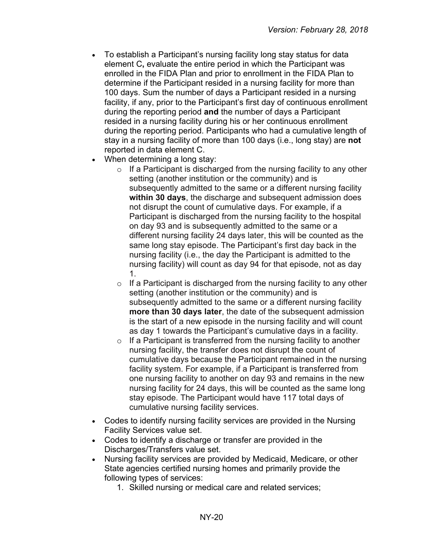- To establish a Participant's nursing facility long stay status for data element C**,** evaluate the entire period in which the Participant was enrolled in the FIDA Plan and prior to enrollment in the FIDA Plan to determine if the Participant resided in a nursing facility for more than 100 days. Sum the number of days a Participant resided in a nursing facility, if any, prior to the Participant's first day of continuous enrollment during the reporting period **and** the number of days a Participant resided in a nursing facility during his or her continuous enrollment during the reporting period. Participants who had a cumulative length of stay in a nursing facility of more than 100 days (i.e., long stay) are **not** reported in data element C.
- When determining a long stay:
	- $\circ$  If a Participant is discharged from the nursing facility to any other setting (another institution or the community) and is subsequently admitted to the same or a different nursing facility **within 30 days**, the discharge and subsequent admission does not disrupt the count of cumulative days. For example, if a Participant is discharged from the nursing facility to the hospital on day 93 and is subsequently admitted to the same or a different nursing facility 24 days later, this will be counted as the same long stay episode. The Participant's first day back in the nursing facility (i.e., the day the Participant is admitted to the nursing facility) will count as day 94 for that episode, not as day 1.
	- $\circ$  If a Participant is discharged from the nursing facility to any other setting (another institution or the community) and is subsequently admitted to the same or a different nursing facility **more than 30 days later**, the date of the subsequent admission is the start of a new episode in the nursing facility and will count as day 1 towards the Participant's cumulative days in a facility.
	- $\circ$  If a Participant is transferred from the nursing facility to another nursing facility, the transfer does not disrupt the count of cumulative days because the Participant remained in the nursing facility system. For example, if a Participant is transferred from one nursing facility to another on day 93 and remains in the new nursing facility for 24 days, this will be counted as the same long stay episode. The Participant would have 117 total days of cumulative nursing facility services.
- Codes to identify nursing facility services are provided in the Nursing Facility Services value set.
- Codes to identify a discharge or transfer are provided in the Discharges/Transfers value set.
- Nursing facility services are provided by Medicaid, Medicare, or other State agencies certified nursing homes and primarily provide the following types of services:
	- 1. Skilled nursing or medical care and related services;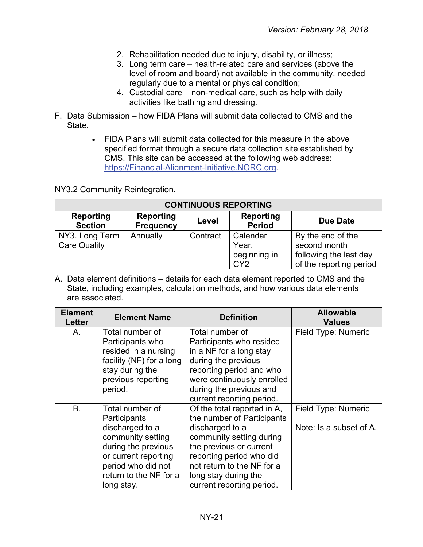- 2. Rehabilitation needed due to injury, disability, or illness;
- 3. Long term care health-related care and services (above the level of room and board) not available in the community, needed regularly due to a mental or physical condition;
- 4. Custodial care non-medical care, such as help with daily activities like bathing and dressing.
- F. Data Submission how FIDA Plans will submit data collected to CMS and the State.
	- FIDA Plans will submit data collected for this measure in the above specified format through a secure data collection site established by CMS. This site can be accessed at the following web address: [https://Financial-Alignment-Initiative.NORC.org.](https://financial-alignment-initiative.norc.org/)

NY3.2 Community Reintegration.

| <b>CONTINUOUS REPORTING</b>           |                                      |          |                                                      |                                                                                        |  |
|---------------------------------------|--------------------------------------|----------|------------------------------------------------------|----------------------------------------------------------------------------------------|--|
| <b>Reporting</b><br><b>Section</b>    | <b>Reporting</b><br><b>Frequency</b> | Level    | Reporting<br><b>Period</b>                           | <b>Due Date</b>                                                                        |  |
| NY3. Long Term<br><b>Care Quality</b> | Annually                             | Contract | Calendar<br>Year,<br>beginning in<br>CY <sub>2</sub> | By the end of the<br>second month<br>following the last day<br>of the reporting period |  |

| <b>Element</b><br>Letter | <b>Element Name</b>      | <b>Definition</b>           | <b>Allowable</b><br><b>Values</b> |
|--------------------------|--------------------------|-----------------------------|-----------------------------------|
| Α.                       | Total number of          | Total number of             | Field Type: Numeric               |
|                          | Participants who         | Participants who resided    |                                   |
|                          | resided in a nursing     | in a NF for a long stay     |                                   |
|                          | facility (NF) for a long | during the previous         |                                   |
|                          | stay during the          | reporting period and who    |                                   |
|                          | previous reporting       | were continuously enrolled  |                                   |
|                          | period.                  | during the previous and     |                                   |
|                          |                          | current reporting period.   |                                   |
| <b>B.</b>                | Total number of          | Of the total reported in A, | Field Type: Numeric               |
|                          | Participants             | the number of Participants  |                                   |
|                          | discharged to a          | discharged to a             | Note: Is a subset of A.           |
|                          | community setting        | community setting during    |                                   |
|                          | during the previous      | the previous or current     |                                   |
|                          | or current reporting     | reporting period who did    |                                   |
|                          | period who did not       | not return to the NF for a  |                                   |
|                          | return to the NF for a   | long stay during the        |                                   |
|                          | long stay.               | current reporting period.   |                                   |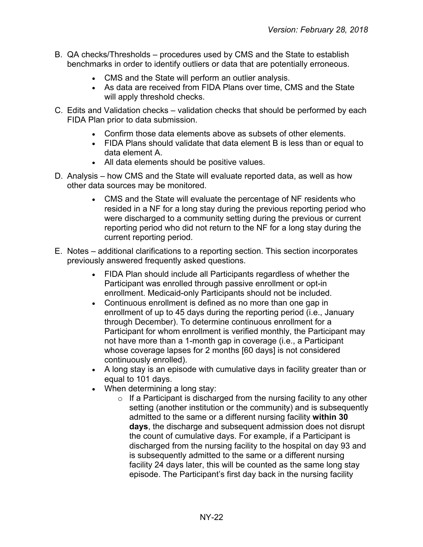- B. QA checks/Thresholds procedures used by CMS and the State to establish benchmarks in order to identify outliers or data that are potentially erroneous.
	- CMS and the State will perform an outlier analysis.
	- As data are received from FIDA Plans over time, CMS and the State will apply threshold checks.
- C. Edits and Validation checks validation checks that should be performed by each FIDA Plan prior to data submission.
	- Confirm those data elements above as subsets of other elements.
	- FIDA Plans should validate that data element B is less than or equal to data element A.
	- All data elements should be positive values.
- D. Analysis how CMS and the State will evaluate reported data, as well as how other data sources may be monitored.
	- CMS and the State will evaluate the percentage of NF residents who resided in a NF for a long stay during the previous reporting period who were discharged to a community setting during the previous or current reporting period who did not return to the NF for a long stay during the current reporting period.
- E. Notes additional clarifications to a reporting section. This section incorporates previously answered frequently asked questions.
	- FIDA Plan should include all Participants regardless of whether the Participant was enrolled through passive enrollment or opt-in enrollment. Medicaid-only Participants should not be included.
	- Continuous enrollment is defined as no more than one gap in enrollment of up to 45 days during the reporting period (i.e., January through December). To determine continuous enrollment for a Participant for whom enrollment is verified monthly, the Participant may not have more than a 1-month gap in coverage (i.e., a Participant whose coverage lapses for 2 months [60 days] is not considered continuously enrolled).
	- A long stay is an episode with cumulative days in facility greater than or equal to 101 days.
	- When determining a long stay:
		- $\circ$  If a Participant is discharged from the nursing facility to any other setting (another institution or the community) and is subsequently admitted to the same or a different nursing facility **within 30 days**, the discharge and subsequent admission does not disrupt the count of cumulative days. For example, if a Participant is discharged from the nursing facility to the hospital on day 93 and is subsequently admitted to the same or a different nursing facility 24 days later, this will be counted as the same long stay episode. The Participant's first day back in the nursing facility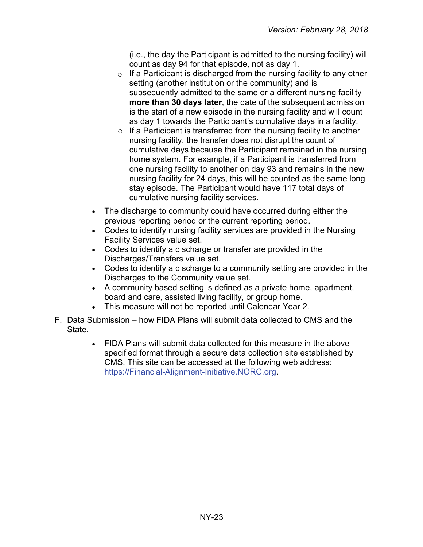(i.e., the day the Participant is admitted to the nursing facility) will count as day 94 for that episode, not as day 1.

- $\circ$  If a Participant is discharged from the nursing facility to any other setting (another institution or the community) and is subsequently admitted to the same or a different nursing facility **more than 30 days later**, the date of the subsequent admission is the start of a new episode in the nursing facility and will count as day 1 towards the Participant's cumulative days in a facility.
- $\circ$  If a Participant is transferred from the nursing facility to another nursing facility, the transfer does not disrupt the count of cumulative days because the Participant remained in the nursing home system. For example, if a Participant is transferred from one nursing facility to another on day 93 and remains in the new nursing facility for 24 days, this will be counted as the same long stay episode. The Participant would have 117 total days of cumulative nursing facility services.
- The discharge to community could have occurred during either the previous reporting period or the current reporting period.
- Codes to identify nursing facility services are provided in the Nursing Facility Services value set.
- Codes to identify a discharge or transfer are provided in the Discharges/Transfers value set.
- Codes to identify a discharge to a community setting are provided in the Discharges to the Community value set.
- A community based setting is defined as a private home, apartment, board and care, assisted living facility, or group home.
- This measure will not be reported until Calendar Year 2.
- F. Data Submission how FIDA Plans will submit data collected to CMS and the State.
	- FIDA Plans will submit data collected for this measure in the above specified format through a secure data collection site established by CMS. This site can be accessed at the following web address: [https://Financial-Alignment-Initiative.NORC.org.](https://financial-alignment-initiative.norc.org/)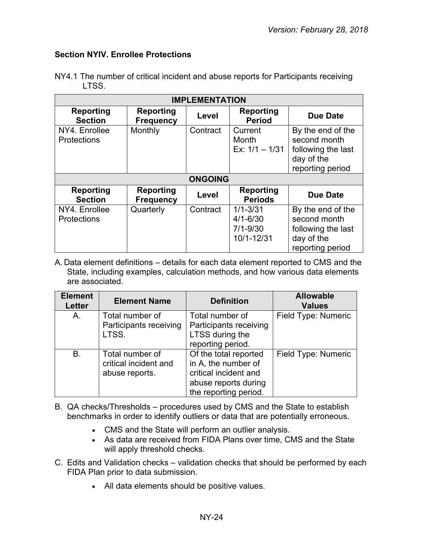## <span id="page-23-0"></span>**Section NYIV. Enrollee Protections**

| <b>IMPLEMENTATION</b>               |                                      |                |                                                            |                                                                                           |
|-------------------------------------|--------------------------------------|----------------|------------------------------------------------------------|-------------------------------------------------------------------------------------------|
| <b>Reporting</b><br><b>Section</b>  | <b>Reporting</b><br><b>Frequency</b> | Level          | <b>Reporting</b><br><b>Period</b>                          | <b>Due Date</b>                                                                           |
| NY4. Enrollee<br><b>Protections</b> | Monthly                              | Contract       | Current<br><b>Month</b><br>Ex: $1/1 - 1/31$                | By the end of the<br>second month<br>following the last<br>day of the<br>reporting period |
|                                     |                                      | <b>ONGOING</b> |                                                            |                                                                                           |
| <b>Reporting</b><br><b>Section</b>  | <b>Reporting</b><br><b>Frequency</b> | Level          | Reporting<br><b>Periods</b>                                | <b>Due Date</b>                                                                           |
| NY4. Enrollee<br><b>Protections</b> | Quarterly                            | Contract       | $1/1 - 3/31$<br>$4/1 - 6/30$<br>$7/1 - 9/30$<br>10/1-12/31 | By the end of the<br>second month<br>following the last<br>day of the<br>reporting period |

NY4.1 The number of critical incident and abuse reports for Participants receiving LTSS.

| <b>Element</b><br><b>Letter</b> | <b>Element Name</b>                                        | <b>Definition</b>                                                                                                      | <b>Allowable</b><br><b>Values</b> |
|---------------------------------|------------------------------------------------------------|------------------------------------------------------------------------------------------------------------------------|-----------------------------------|
| A.                              | Total number of<br>Participants receiving<br>LTSS.         | Total number of<br>Participants receiving<br>LTSS during the<br>reporting period.                                      | Field Type: Numeric               |
| Β.                              | Total number of<br>critical incident and<br>abuse reports. | Of the total reported<br>in A, the number of<br>critical incident and<br>abuse reports during<br>the reporting period. | Field Type: Numeric               |

- B. QA checks/Thresholds procedures used by CMS and the State to establish benchmarks in order to identify outliers or data that are potentially erroneous.
	- CMS and the State will perform an outlier analysis.
	- As data are received from FIDA Plans over time, CMS and the State will apply threshold checks.
- C. Edits and Validation checks validation checks that should be performed by each FIDA Plan prior to data submission.
	- All data elements should be positive values.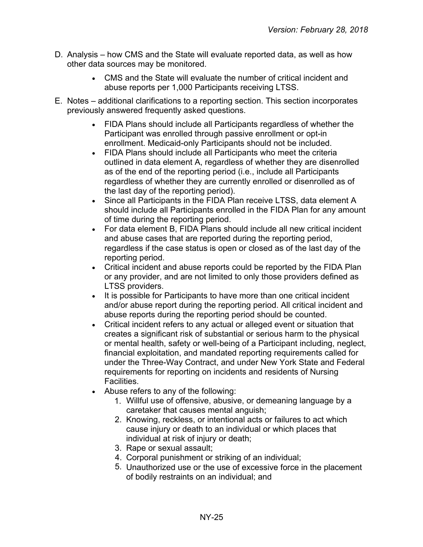- D. Analysis how CMS and the State will evaluate reported data, as well as how other data sources may be monitored.
	- CMS and the State will evaluate the number of critical incident and abuse reports per 1,000 Participants receiving LTSS.
- E. Notes additional clarifications to a reporting section. This section incorporates previously answered frequently asked questions.
	- FIDA Plans should include all Participants regardless of whether the Participant was enrolled through passive enrollment or opt-in enrollment. Medicaid-only Participants should not be included.
	- FIDA Plans should include all Participants who meet the criteria outlined in data element A, regardless of whether they are disenrolled as of the end of the reporting period (i.e., include all Participants regardless of whether they are currently enrolled or disenrolled as of the last day of the reporting period).
	- Since all Participants in the FIDA Plan receive LTSS, data element A should include all Participants enrolled in the FIDA Plan for any amount of time during the reporting period.
	- For data element B, FIDA Plans should include all new critical incident and abuse cases that are reported during the reporting period, regardless if the case status is open or closed as of the last day of the reporting period.
	- Critical incident and abuse reports could be reported by the FIDA Plan or any provider, and are not limited to only those providers defined as LTSS providers.
	- It is possible for Participants to have more than one critical incident and/or abuse report during the reporting period. All critical incident and abuse reports during the reporting period should be counted.
	- Critical incident refers to any actual or alleged event or situation that creates a significant risk of substantial or serious harm to the physical or mental health, safety or well-being of a Participant including, neglect, financial exploitation, and mandated reporting requirements called for under the Three-Way Contract, and under New York State and Federal requirements for reporting on incidents and residents of Nursing Facilities.
	- Abuse refers to any of the following:
		- Willful use of offensive, abusive, or demeaning language by a 1. caretaker that causes mental anguish;
		- 2. Knowing, reckless, or intentional acts or failures to act which cause injury or death to an individual or which places that individual at risk of injury or death;
		- 3. Rape or sexual assault;
		- Corporal punishment or striking of an individual; 4.
		- 5. Unauthorized use or the use of excessive force in the placement of bodily restraints on an individual; and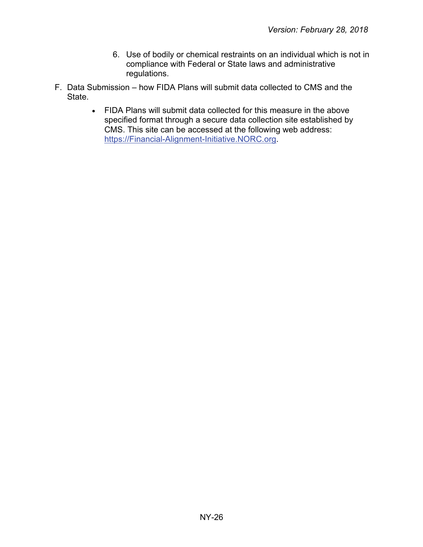- 6. Use of bodily or chemical restraints on an individual which is not in compliance with Federal or State laws and administrative regulations.
- <span id="page-25-0"></span>F. Data Submission – how FIDA Plans will submit data collected to CMS and the **State** 
	- FIDA Plans will submit data collected for this measure in the above specified format through a secure data collection site established by CMS. This site can be accessed at the following web address: [https://Financial-Alignment-Initiative.NORC.org.](https://financial-alignment-initiative.norc.org/)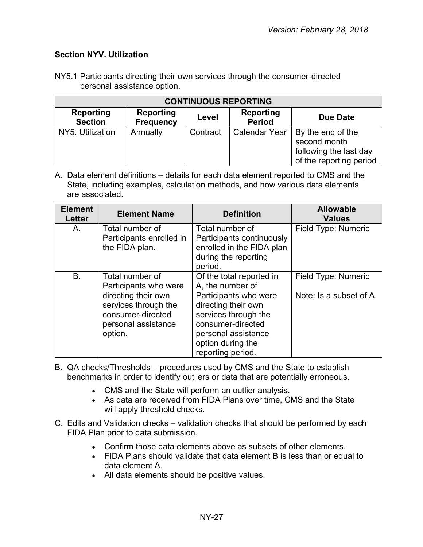# **Section NYV. Utilization**

| NY5.1 Participants directing their own services through the consumer-directed |  |  |  |  |
|-------------------------------------------------------------------------------|--|--|--|--|
| personal assistance option.                                                   |  |  |  |  |

| <b>CONTINUOUS REPORTING</b>        |                                      |          |                            |                                                                                        |
|------------------------------------|--------------------------------------|----------|----------------------------|----------------------------------------------------------------------------------------|
| <b>Reporting</b><br><b>Section</b> | <b>Reporting</b><br><b>Frequency</b> | Level    | Reporting<br><b>Period</b> | Due Date                                                                               |
| NY5. Utilization                   | Annually                             | Contract | <b>Calendar Year</b>       | By the end of the<br>second month<br>following the last day<br>of the reporting period |

| <b>Element</b><br><b>Letter</b> | <b>Element Name</b>                                                                                                                            | <b>Definition</b>                                                                                                                                                                                          | <b>Allowable</b><br><b>Values</b>              |
|---------------------------------|------------------------------------------------------------------------------------------------------------------------------------------------|------------------------------------------------------------------------------------------------------------------------------------------------------------------------------------------------------------|------------------------------------------------|
| A.                              | Total number of<br>Participants enrolled in<br>the FIDA plan.                                                                                  | Total number of<br>Participants continuously<br>enrolled in the FIDA plan<br>during the reporting<br>period.                                                                                               | Field Type: Numeric                            |
| В.                              | Total number of<br>Participants who were<br>directing their own<br>services through the<br>consumer-directed<br>personal assistance<br>option. | Of the total reported in<br>A, the number of<br>Participants who were<br>directing their own<br>services through the<br>consumer-directed<br>personal assistance<br>option during the<br>reporting period. | Field Type: Numeric<br>Note: Is a subset of A. |

- B. QA checks/Thresholds procedures used by CMS and the State to establish benchmarks in order to identify outliers or data that are potentially erroneous.
	- CMS and the State will perform an outlier analysis.
	- As data are received from FIDA Plans over time, CMS and the State will apply threshold checks.
- C. Edits and Validation checks validation checks that should be performed by each FIDA Plan prior to data submission.
	- Confirm those data elements above as subsets of other elements.
	- FIDA Plans should validate that data element B is less than or equal to data element A.
	- All data elements should be positive values.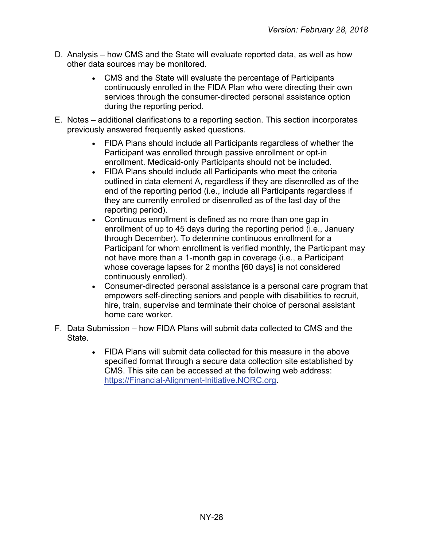- D. Analysis how CMS and the State will evaluate reported data, as well as how other data sources may be monitored.
	- CMS and the State will evaluate the percentage of Participants continuously enrolled in the FIDA Plan who were directing their own services through the consumer-directed personal assistance option during the reporting period.
- E. Notes additional clarifications to a reporting section. This section incorporates previously answered frequently asked questions.
	- FIDA Plans should include all Participants regardless of whether the Participant was enrolled through passive enrollment or opt-in enrollment. Medicaid-only Participants should not be included.
	- FIDA Plans should include all Participants who meet the criteria outlined in data element A, regardless if they are disenrolled as of the end of the reporting period (i.e., include all Participants regardless if they are currently enrolled or disenrolled as of the last day of the reporting period).
	- Continuous enrollment is defined as no more than one gap in enrollment of up to 45 days during the reporting period (i.e., January through December). To determine continuous enrollment for a Participant for whom enrollment is verified monthly, the Participant may not have more than a 1-month gap in coverage (i.e., a Participant whose coverage lapses for 2 months [60 days] is not considered continuously enrolled).
	- Consumer-directed personal assistance is a personal care program that empowers self-directing seniors and people with disabilities to recruit, hire, train, supervise and terminate their choice of personal assistant home care worker.
- <span id="page-27-0"></span>F. Data Submission – how FIDA Plans will submit data collected to CMS and the State.
	- FIDA Plans will submit data collected for this measure in the above specified format through a secure data collection site established by CMS. This site can be accessed at the following web address: [https://Financial-Alignment-Initiative.NORC.org.](https://financial-alignment-initiative.norc.org/)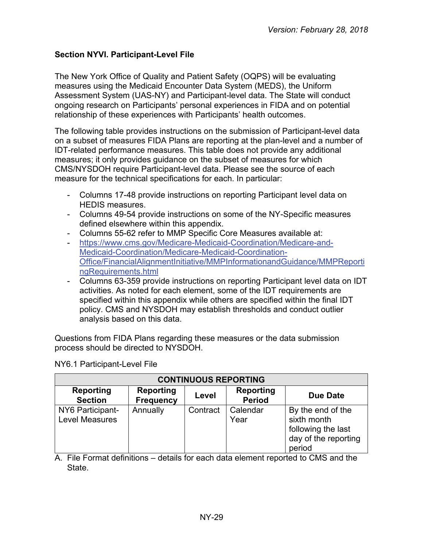# **Section NYVI. Participant-Level File**

The New York Office of Quality and Patient Safety (OQPS) will be evaluating measures using the Medicaid Encounter Data System (MEDS), the Uniform Assessment System (UAS-NY) and Participant-level data. The State will conduct ongoing research on Participants' personal experiences in FIDA and on potential relationship of these experiences with Participants' health outcomes.

The following table provides instructions on the submission of Participant-level data on a subset of measures FIDA Plans are reporting at the plan-level and a number of IDT-related performance measures. This table does not provide any additional measures; it only provides guidance on the subset of measures for which CMS/NYSDOH require Participant-level data. Please see the source of each measure for the technical specifications for each. In particular:

- Columns 17-48 provide instructions on reporting Participant level data on HEDIS measures.
- Columns 49-54 provide instructions on some of the NY-Specific measures defined elsewhere within this appendix.
- Columns 55-62 refer to MMP Specific Core Measures available at:
- [https://www.cms.gov/Medicare-Medicaid-Coordination/Medicare-and-](https://www.cms.gov/Medicare-Medicaid-Coordination/Medicare-and-Medicaid-Coordination/Medicare-Medicaid-Coordination-Office/FinancialAlignmentInitiative/MMPInformationandGuidance/MMPReportingRequirements.html)[Medicaid-Coordination/Medicare-Medicaid-Coordination-](https://www.cms.gov/Medicare-Medicaid-Coordination/Medicare-and-Medicaid-Coordination/Medicare-Medicaid-Coordination-Office/FinancialAlignmentInitiative/MMPInformationandGuidance/MMPReportingRequirements.html)[Office/FinancialAlignmentInitiative/MMPInformationandGuidance/MMPReporti](https://www.cms.gov/Medicare-Medicaid-Coordination/Medicare-and-Medicaid-Coordination/Medicare-Medicaid-Coordination-Office/FinancialAlignmentInitiative/MMPInformationandGuidance/MMPReportingRequirements.html) [ngRequirements.html](https://www.cms.gov/Medicare-Medicaid-Coordination/Medicare-and-Medicaid-Coordination/Medicare-Medicaid-Coordination-Office/FinancialAlignmentInitiative/MMPInformationandGuidance/MMPReportingRequirements.html)
- Columns 63-359 provide instructions on reporting Participant level data on IDT activities. As noted for each element, some of the IDT requirements are specified within this appendix while others are specified within the final IDT policy. CMS and NYSDOH may establish thresholds and conduct outlier analysis based on this data.

Questions from FIDA Plans regarding these measures or the data submission process should be directed to NYSDOH.

| <b>CONTINUOUS REPORTING</b>               |                                      |          |                                   |                                                                                          |
|-------------------------------------------|--------------------------------------|----------|-----------------------------------|------------------------------------------------------------------------------------------|
| <b>Reporting</b><br><b>Section</b>        | <b>Reporting</b><br><b>Frequency</b> | Level    | <b>Reporting</b><br><b>Period</b> | <b>Due Date</b>                                                                          |
| NY6 Participant-<br><b>Level Measures</b> | Annually                             | Contract | Calendar<br>Year                  | By the end of the<br>sixth month<br>following the last<br>day of the reporting<br>period |

NY6.1 Participant-Level File

A. File Format definitions – details for each data element reported to CMS and the State.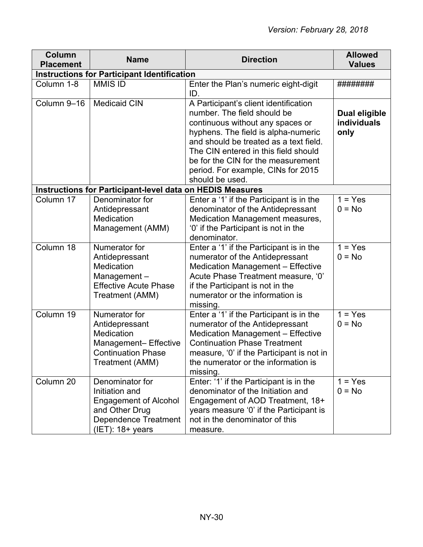| Column<br><b>Placement</b> | <b>Name</b>                                                                                                                               | <b>Direction</b>                                                                                                                                                                                                                                                                                                                 | <b>Allowed</b><br><b>Values</b>      |  |  |
|----------------------------|-------------------------------------------------------------------------------------------------------------------------------------------|----------------------------------------------------------------------------------------------------------------------------------------------------------------------------------------------------------------------------------------------------------------------------------------------------------------------------------|--------------------------------------|--|--|
|                            | <b>Instructions for Participant Identification</b>                                                                                        |                                                                                                                                                                                                                                                                                                                                  |                                      |  |  |
| Column 1-8                 | <b>MMIS ID</b>                                                                                                                            | Enter the Plan's numeric eight-digit<br>ID.                                                                                                                                                                                                                                                                                      | ########                             |  |  |
| Column 9-16                | <b>Medicaid CIN</b>                                                                                                                       | A Participant's client identification<br>number. The field should be<br>continuous without any spaces or<br>hyphens. The field is alpha-numeric<br>and should be treated as a text field.<br>The CIN entered in this field should<br>be for the CIN for the measurement<br>period. For example, CINs for 2015<br>should be used. | Dual eligible<br>individuals<br>only |  |  |
|                            | <b>Instructions for Participant-level data on HEDIS Measures</b>                                                                          |                                                                                                                                                                                                                                                                                                                                  |                                      |  |  |
| Column 17                  | Denominator for<br>Antidepressant<br>Medication<br>Management (AMM)                                                                       | Enter a '1' if the Participant is in the<br>denominator of the Antidepressant<br><b>Medication Management measures,</b><br>'0' if the Participant is not in the<br>denominator.                                                                                                                                                  | $1 = Yes$<br>$0 = No$                |  |  |
| Column 18                  | Numerator for<br>Antidepressant<br>Medication<br>Management-<br><b>Effective Acute Phase</b><br>Treatment (AMM)                           | Enter a '1' if the Participant is in the<br>numerator of the Antidepressant<br><b>Medication Management - Effective</b><br>Acute Phase Treatment measure, '0'<br>if the Participant is not in the<br>numerator or the information is<br>missing.                                                                                 | $= Yes$<br>$0 = No$                  |  |  |
| Column 19                  | Numerator for<br>Antidepressant<br>Medication<br>Management-Effective<br><b>Continuation Phase</b><br>Treatment (AMM)                     | Enter a '1' if the Participant is in the<br>numerator of the Antidepressant<br><b>Medication Management - Effective</b><br><b>Continuation Phase Treatment</b><br>measure, '0' if the Participant is not in<br>the numerator or the information is<br>missing.                                                                   | $1 = Yes$<br>$0 = No$                |  |  |
| Column 20                  | Denominator for<br>Initiation and<br><b>Engagement of Alcohol</b><br>and Other Drug<br><b>Dependence Treatment</b><br>$(IET)$ : 18+ years | Enter: '1' if the Participant is in the<br>denominator of the Initiation and<br>Engagement of AOD Treatment, 18+<br>years measure '0' if the Participant is<br>not in the denominator of this<br>measure.                                                                                                                        | $1 = Yes$<br>$0 = No$                |  |  |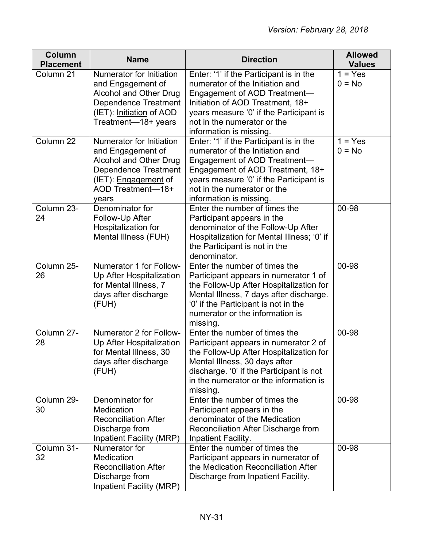| Column<br><b>Placement</b> | <b>Name</b>                                                                                                                                                  | <b>Direction</b>                                                                                                                                                                                                                                     | <b>Allowed</b><br><b>Values</b> |
|----------------------------|--------------------------------------------------------------------------------------------------------------------------------------------------------------|------------------------------------------------------------------------------------------------------------------------------------------------------------------------------------------------------------------------------------------------------|---------------------------------|
| Column 21                  | Numerator for Initiation<br>and Engagement of<br>Alcohol and Other Drug<br><b>Dependence Treatment</b><br>(IET): Initiation of AOD<br>Treatment-18+ years    | Enter: '1' if the Participant is in the<br>numerator of the Initiation and<br>Engagement of AOD Treatment-<br>Initiation of AOD Treatment, 18+<br>years measure '0' if the Participant is<br>not in the numerator or the<br>information is missing.  | $1 = Yes$<br>$0 = No$           |
| Column 22                  | Numerator for Initiation<br>and Engagement of<br>Alcohol and Other Drug<br>Dependence Treatment<br>(IET): <i>Engagement</i> of<br>AOD Treatment-18+<br>years | Enter: '1' if the Participant is in the<br>numerator of the Initiation and<br>Engagement of AOD Treatment-<br>Engagement of AOD Treatment, 18+<br>years measure '0' if the Participant is<br>not in the numerator or the<br>information is missing.  | $1 = Yes$<br>$0 = No$           |
| Column 23-<br>24           | Denominator for<br>Follow-Up After<br>Hospitalization for<br>Mental Illness (FUH)                                                                            | Enter the number of times the<br>Participant appears in the<br>denominator of the Follow-Up After<br>Hospitalization for Mental Illness; '0' if<br>the Participant is not in the<br>denominator.                                                     | 00-98                           |
| Column 25-<br>26           | Numerator 1 for Follow-<br>Up After Hospitalization<br>for Mental Illness, 7<br>days after discharge<br>(FUH)                                                | Enter the number of times the<br>Participant appears in numerator 1 of<br>the Follow-Up After Hospitalization for<br>Mental Illness, 7 days after discharge.<br>'0' if the Participant is not in the<br>numerator or the information is<br>missing.  | 00-98                           |
| Column 27-<br>28           | Numerator 2 for Follow-<br>Up After Hospitalization<br>for Mental Illness, 30<br>days after discharge<br>(FUH)                                               | Enter the number of times the<br>Participant appears in numerator 2 of<br>the Follow-Up After Hospitalization for<br>Mental Illness, 30 days after<br>discharge. '0' if the Participant is not<br>in the numerator or the information is<br>missing. | 00-98                           |
| Column 29-<br>30           | Denominator for<br>Medication<br><b>Reconciliation After</b><br>Discharge from<br><b>Inpatient Facility (MRP)</b>                                            | Enter the number of times the<br>Participant appears in the<br>denominator of the Medication<br>Reconciliation After Discharge from<br>Inpatient Facility.                                                                                           | 00-98                           |
| Column 31-<br>32           | Numerator for<br>Medication<br><b>Reconciliation After</b><br>Discharge from<br>Inpatient Facility (MRP)                                                     | Enter the number of times the<br>Participant appears in numerator of<br>the Medication Reconciliation After<br>Discharge from Inpatient Facility.                                                                                                    | 00-98                           |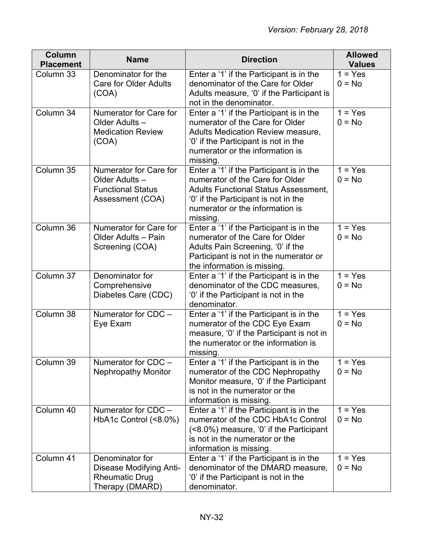| <b>Column</b><br><b>Placement</b> | <b>Name</b>                                                                              | <b>Direction</b>                                                                                                                                                                                                  | <b>Allowed</b><br><b>Values</b> |
|-----------------------------------|------------------------------------------------------------------------------------------|-------------------------------------------------------------------------------------------------------------------------------------------------------------------------------------------------------------------|---------------------------------|
| Column 33                         | Denominator for the<br><b>Care for Older Adults</b><br>(COA)                             | Enter a '1' if the Participant is in the<br>denominator of the Care for Older<br>Adults measure, '0' if the Participant is<br>not in the denominator.                                                             | $1 = Yes$<br>$0 = No$           |
| Column 34                         | Numerator for Care for<br>Older Adults-<br><b>Medication Review</b><br>(COA)             | Enter a '1' if the Participant is in the<br>numerator of the Care for Older<br>Adults Medication Review measure,<br>'0' if the Participant is not in the<br>numerator or the information is<br>missing.           | $1 = Yes$<br>$0 = No$           |
| Column 35                         | Numerator for Care for<br>Older Adults -<br><b>Functional Status</b><br>Assessment (COA) | Enter a '1' if the Participant is in the<br>numerator of the Care for Older<br><b>Adults Functional Status Assessment,</b><br>'0' if the Participant is not in the<br>numerator or the information is<br>missing. | $1 = Yes$<br>$0 = No$           |
| Column 36                         | Numerator for Care for<br>Older Adults - Pain<br>Screening (COA)                         | Enter a '1' if the Participant is in the<br>numerator of the Care for Older<br>Adults Pain Screening, '0' if the<br>Participant is not in the numerator or<br>the information is missing.                         | $1 = Yes$<br>$0 = No$           |
| Column 37                         | Denominator for<br>Comprehensive<br>Diabetes Care (CDC)                                  | Enter a '1' if the Participant is in the<br>denominator of the CDC measures,<br>'0' if the Participant is not in the<br>denominator.                                                                              | $1 = Yes$<br>$0 = No$           |
| Column 38                         | Numerator for CDC -<br>Eye Exam                                                          | Enter a '1' if the Participant is in the<br>numerator of the CDC Eye Exam<br>measure, '0' if the Participant is not in<br>the numerator or the information is<br>missing.                                         | $1 = Yes$<br>$0 = No$           |
| Column 39                         | Numerator for CDC -<br><b>Nephropathy Monitor</b>                                        | Enter a '1' if the Participant is in the<br>numerator of the CDC Nephropathy<br>Monitor measure, '0' if the Participant<br>is not in the numerator or the<br>information is missing.                              | $1 = Yes$<br>$0 = No$           |
| Column 40                         | Numerator for CDC -<br>HbA1c Control (<8.0%)                                             | Enter a '1' if the Participant is in the<br>numerator of the CDC HbA1c Control<br>(<8.0%) measure, '0' if the Participant<br>is not in the numerator or the<br>information is missing.                            | $= Yes$<br>$0 = No$             |
| Column 41                         | Denominator for<br>Disease Modifying Anti-<br><b>Rheumatic Drug</b><br>Therapy (DMARD)   | Enter a '1' if the Participant is in the<br>denominator of the DMARD measure,<br>'0' if the Participant is not in the<br>denominator.                                                                             | $1 = Yes$<br>$0 = No$           |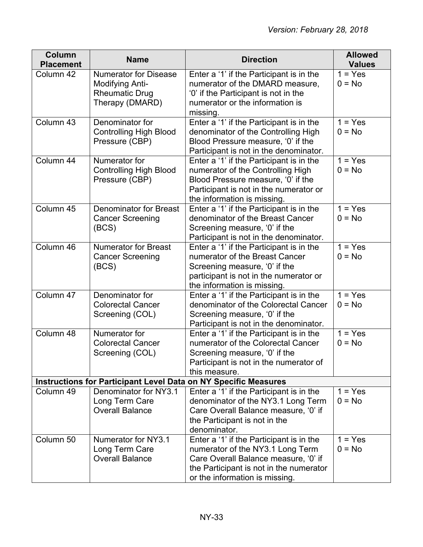| Column<br><b>Placement</b> | <b>Name</b>                                                                                        | <b>Direction</b>                                                                                                                                                                                  | <b>Allowed</b><br><b>Values</b> |
|----------------------------|----------------------------------------------------------------------------------------------------|---------------------------------------------------------------------------------------------------------------------------------------------------------------------------------------------------|---------------------------------|
| Column 42                  | <b>Numerator for Disease</b><br><b>Modifying Anti-</b><br><b>Rheumatic Drug</b><br>Therapy (DMARD) | Enter a '1' if the Participant is in the<br>numerator of the DMARD measure,<br>'0' if the Participant is not in the<br>numerator or the information is<br>missing.                                | $1 = Yes$<br>$0 = No$           |
| Column 43                  | Denominator for<br><b>Controlling High Blood</b><br>Pressure (CBP)                                 | Enter a '1' if the Participant is in the<br>denominator of the Controlling High<br>Blood Pressure measure, '0' if the<br>Participant is not in the denominator.                                   | $1 = Yes$<br>$0 = No$           |
| Column 44                  | Numerator for<br><b>Controlling High Blood</b><br>Pressure (CBP)                                   | Enter a '1' if the Participant is in the<br>numerator of the Controlling High<br>Blood Pressure measure, '0' if the<br>Participant is not in the numerator or<br>the information is missing.      | $1 = Yes$<br>$0 = No$           |
| Column 45                  | <b>Denominator for Breast</b><br><b>Cancer Screening</b><br>(BCS)                                  | Enter a '1' if the Participant is in the<br>denominator of the Breast Cancer<br>Screening measure, '0' if the<br>Participant is not in the denominator.                                           | $1 = Yes$<br>$0 = No$           |
| Column 46                  | <b>Numerator for Breast</b><br><b>Cancer Screening</b><br>(BCS)                                    | Enter a '1' if the Participant is in the<br>numerator of the Breast Cancer<br>Screening measure, '0' if the<br>participant is not in the numerator or<br>the information is missing.              | $1 = Yes$<br>$0 = No$           |
| Column 47                  | Denominator for<br><b>Colorectal Cancer</b><br>Screening (COL)                                     | Enter a '1' if the Participant is in the<br>denominator of the Colorectal Cancer<br>Screening measure, '0' if the<br>Participant is not in the denominator.                                       | $1 = Yes$<br>$0 = No$           |
| Column 48                  | Numerator for<br><b>Colorectal Cancer</b><br>Screening (COL)                                       | Enter a '1' if the Participant is in the<br>numerator of the Colorectal Cancer<br>Screening measure, '0' if the<br>Participant is not in the numerator of<br>this measure.                        | $1 = Yes$<br>$0 = No$           |
|                            |                                                                                                    | <b>Instructions for Participant Level Data on NY Specific Measures</b>                                                                                                                            |                                 |
| Column 49                  | Denominator for NY3.1<br>Long Term Care<br><b>Overall Balance</b>                                  | Enter a '1' if the Participant is in the<br>denominator of the NY3.1 Long Term<br>Care Overall Balance measure, '0' if<br>the Participant is not in the<br>denominator.                           | $1 = Yes$<br>$0 = No$           |
| Column 50                  | Numerator for NY3.1<br>Long Term Care<br><b>Overall Balance</b>                                    | Enter a '1' if the Participant is in the<br>numerator of the NY3.1 Long Term<br>Care Overall Balance measure, '0' if<br>the Participant is not in the numerator<br>or the information is missing. | $1 = Yes$<br>$0 = No$           |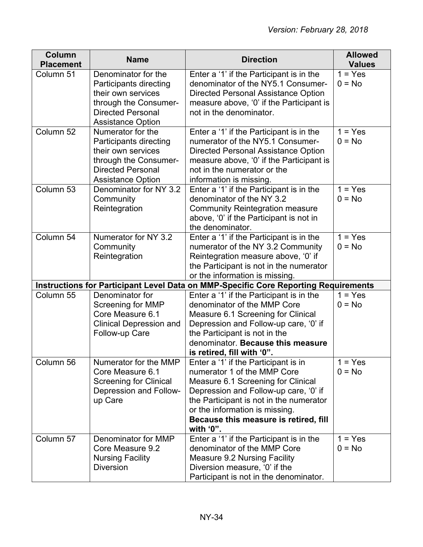| <b>Column</b><br><b>Placement</b> | <b>Name</b>                                             | <b>Direction</b>                                                                    | <b>Allowed</b><br><b>Values</b> |
|-----------------------------------|---------------------------------------------------------|-------------------------------------------------------------------------------------|---------------------------------|
| Column 51                         | Denominator for the                                     | Enter a '1' if the Participant is in the                                            | $1 = Yes$                       |
|                                   | Participants directing                                  | denominator of the NY5.1 Consumer-                                                  | $0 = No$                        |
|                                   | their own services                                      | <b>Directed Personal Assistance Option</b>                                          |                                 |
|                                   | through the Consumer-                                   | measure above, '0' if the Participant is                                            |                                 |
|                                   | <b>Directed Personal</b>                                | not in the denominator.                                                             |                                 |
|                                   | <b>Assistance Option</b>                                |                                                                                     |                                 |
| Column 52                         | Numerator for the                                       | Enter a '1' if the Participant is in the                                            | $1 = Yes$                       |
|                                   | Participants directing                                  | numerator of the NY5.1 Consumer-                                                    | $0 = No$                        |
|                                   | their own services                                      | Directed Personal Assistance Option                                                 |                                 |
|                                   | through the Consumer-                                   | measure above, '0' if the Participant is                                            |                                 |
|                                   | <b>Directed Personal</b>                                | not in the numerator or the                                                         |                                 |
| Column 53                         | <b>Assistance Option</b><br>Denominator for NY 3.2      | information is missing.                                                             | $1 = Yes$                       |
|                                   | Community                                               | Enter a '1' if the Participant is in the<br>denominator of the NY 3.2               | $0 = No$                        |
|                                   | Reintegration                                           | <b>Community Reintegration measure</b>                                              |                                 |
|                                   |                                                         | above, '0' if the Participant is not in                                             |                                 |
|                                   |                                                         | the denominator.                                                                    |                                 |
| Column 54                         | Numerator for NY 3.2                                    | Enter a '1' if the Participant is in the                                            | $1 = Yes$                       |
|                                   | Community                                               | numerator of the NY 3.2 Community                                                   | $0 = No$                        |
|                                   | Reintegration                                           | Reintegration measure above, '0' if                                                 |                                 |
|                                   |                                                         | the Participant is not in the numerator                                             |                                 |
|                                   |                                                         | or the information is missing.                                                      |                                 |
|                                   |                                                         | Instructions for Participant Level Data on MMP-Specific Core Reporting Requirements |                                 |
| Column 55                         | Denominator for                                         | Enter a '1' if the Participant is in the                                            | $1 = Yes$                       |
|                                   | Screening for MMP                                       | denominator of the MMP Core                                                         | $0 = No$                        |
|                                   | Core Measure 6.1                                        | Measure 6.1 Screening for Clinical                                                  |                                 |
|                                   | <b>Clinical Depression and</b>                          | Depression and Follow-up care, '0' if                                               |                                 |
|                                   | Follow-up Care                                          | the Participant is not in the                                                       |                                 |
|                                   |                                                         | denominator. Because this measure                                                   |                                 |
|                                   |                                                         | is retired, fill with '0".                                                          |                                 |
| Column 56                         | Numerator for the MMP                                   | Enter a '1' if the Participant is in                                                | $1 = Yes$                       |
|                                   | Core Measure 6.1                                        | numerator 1 of the MMP Core                                                         | $0 = No$                        |
|                                   | <b>Screening for Clinical</b><br>Depression and Follow- | Measure 6.1 Screening for Clinical                                                  |                                 |
|                                   | up Care                                                 | Depression and Follow-up care, '0' if<br>the Participant is not in the numerator    |                                 |
|                                   |                                                         | or the information is missing.                                                      |                                 |
|                                   |                                                         | Because this measure is retired, fill                                               |                                 |
|                                   |                                                         | with '0".                                                                           |                                 |
| Column 57                         | Denominator for MMP                                     | Enter a '1' if the Participant is in the                                            | $1 = Yes$                       |
|                                   | Core Measure 9.2                                        | denominator of the MMP Core                                                         | $0 = No$                        |
|                                   | <b>Nursing Facility</b>                                 | <b>Measure 9.2 Nursing Facility</b>                                                 |                                 |
|                                   | <b>Diversion</b>                                        | Diversion measure, '0' if the                                                       |                                 |
|                                   |                                                         | Participant is not in the denominator.                                              |                                 |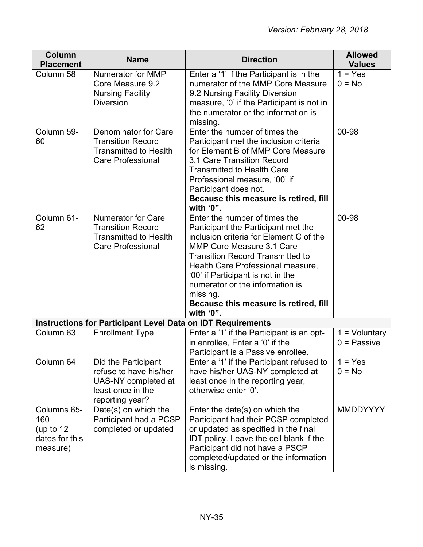| Column<br><b>Placement</b>                                      | <b>Name</b>                                                                                                       | <b>Direction</b>                                                                                                                                                                                                                                                                                                                                                       | <b>Allowed</b><br><b>Values</b>  |
|-----------------------------------------------------------------|-------------------------------------------------------------------------------------------------------------------|------------------------------------------------------------------------------------------------------------------------------------------------------------------------------------------------------------------------------------------------------------------------------------------------------------------------------------------------------------------------|----------------------------------|
| Column 58                                                       | Numerator for MMP<br>Core Measure 9.2<br><b>Nursing Facility</b><br><b>Diversion</b>                              | Enter a '1' if the Participant is in the<br>numerator of the MMP Core Measure<br>9.2 Nursing Facility Diversion<br>measure, '0' if the Participant is not in<br>the numerator or the information is<br>missing.                                                                                                                                                        | $1 = Yes$<br>$0 = No$            |
| Column 59-<br>60                                                | Denominator for Care<br><b>Transition Record</b><br><b>Transmitted to Health</b><br><b>Care Professional</b>      | Enter the number of times the<br>Participant met the inclusion criteria<br>for Element B of MMP Core Measure<br>3.1 Care Transition Record<br><b>Transmitted to Health Care</b><br>Professional measure, '00' if<br>Participant does not.<br>Because this measure is retired, fill<br>with $'0$ ".                                                                     | 00-98                            |
| Column 61-<br>62                                                | <b>Numerator for Care</b><br><b>Transition Record</b><br><b>Transmitted to Health</b><br><b>Care Professional</b> | Enter the number of times the<br>Participant the Participant met the<br>inclusion criteria for Element C of the<br>MMP Core Measure 3.1 Care<br><b>Transition Record Transmitted to</b><br>Health Care Professional measure,<br>'00' if Participant is not in the<br>numerator or the information is<br>missing.<br>Because this measure is retired, fill<br>with '0". | 00-98                            |
|                                                                 | <b>Instructions for Participant Level Data on IDT Requirements</b>                                                |                                                                                                                                                                                                                                                                                                                                                                        |                                  |
| Column 63                                                       | <b>Enrollment Type</b>                                                                                            | Enter a '1' if the Participant is an opt-<br>in enrollee, Enter a '0' if the<br>Participant is a Passive enrollee.                                                                                                                                                                                                                                                     | $1 =$ Voluntary<br>$0 =$ Passive |
| Column 64                                                       | Did the Participant<br>refuse to have his/her<br>UAS-NY completed at<br>least once in the<br>reporting year?      | Enter a '1' if the Participant refused to<br>have his/her UAS-NY completed at<br>least once in the reporting year,<br>otherwise enter '0'.                                                                                                                                                                                                                             | $1 = Yes$<br>$0 = No$            |
| Columns 65-<br>160<br>(up to $12$<br>dates for this<br>measure) | Date(s) on which the<br>Participant had a PCSP<br>completed or updated                                            | Enter the date(s) on which the<br>Participant had their PCSP completed<br>or updated as specified in the final<br>IDT policy. Leave the cell blank if the<br>Participant did not have a PSCP<br>completed/updated or the information<br>is missing.                                                                                                                    | <b>MMDDYYYY</b>                  |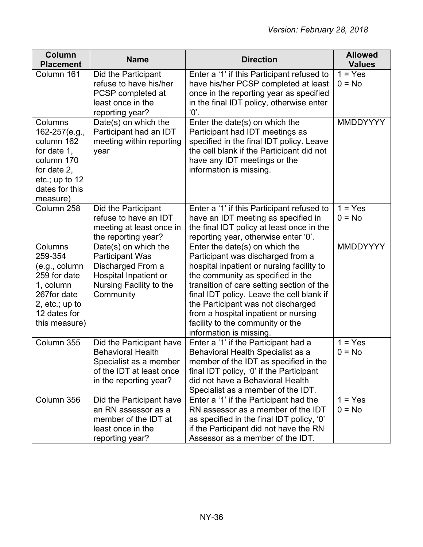| <b>Column</b><br><b>Placement</b>                                                                                                     | <b>Name</b>                                                                                                                          | <b>Direction</b>                                                                                                                                                                                                                                                                                                                                                                             | <b>Allowed</b><br><b>Values</b> |
|---------------------------------------------------------------------------------------------------------------------------------------|--------------------------------------------------------------------------------------------------------------------------------------|----------------------------------------------------------------------------------------------------------------------------------------------------------------------------------------------------------------------------------------------------------------------------------------------------------------------------------------------------------------------------------------------|---------------------------------|
| Column 161                                                                                                                            | Did the Participant<br>refuse to have his/her<br>PCSP completed at<br>least once in the<br>reporting year?                           | Enter a '1' if this Participant refused to<br>have his/her PCSP completed at least<br>once in the reporting year as specified<br>in the final IDT policy, otherwise enter<br>$^{\prime}0^{\prime}$ .                                                                                                                                                                                         | $1 = Yes$<br>$0 = No$           |
| Columns<br>162-257(e.g.,<br>column 162<br>for date 1,<br>column 170<br>for date 2,<br>etc.; up to 12<br>dates for this<br>measure)    | Date(s) on which the<br>Participant had an IDT<br>meeting within reporting<br>year                                                   | Enter the date(s) on which the<br>Participant had IDT meetings as<br>specified in the final IDT policy. Leave<br>the cell blank if the Participant did not<br>have any IDT meetings or the<br>information is missing.                                                                                                                                                                        | <b>MMDDYYYY</b>                 |
| Column 258                                                                                                                            | Did the Participant<br>refuse to have an IDT<br>meeting at least once in<br>the reporting year?                                      | Enter a '1' if this Participant refused to<br>have an IDT meeting as specified in<br>the final IDT policy at least once in the<br>reporting year, otherwise enter '0'.                                                                                                                                                                                                                       | $1 = Yes$<br>$0 = No$           |
| Columns<br>259-354<br>(e.g., column)<br>259 for date<br>1, column<br>267for date<br>2, $etc.; up to$<br>12 dates for<br>this measure) | Date(s) on which the<br><b>Participant Was</b><br>Discharged From a<br>Hospital Inpatient or<br>Nursing Facility to the<br>Community | Enter the date(s) on which the<br>Participant was discharged from a<br>hospital inpatient or nursing facility to<br>the community as specified in the<br>transition of care setting section of the<br>final IDT policy. Leave the cell blank if<br>the Participant was not discharged<br>from a hospital inpatient or nursing<br>facility to the community or the<br>information is missing. | MMDDYYYY                        |
| Column 355                                                                                                                            | Did the Participant have<br><b>Behavioral Health</b><br>Specialist as a member<br>of the IDT at least once<br>in the reporting year? | Enter a '1' if the Participant had a<br>Behavioral Health Specialist as a<br>member of the IDT as specified in the<br>final IDT policy, '0' if the Participant<br>did not have a Behavioral Health<br>Specialist as a member of the IDT.                                                                                                                                                     | $=$ Yes<br>$0 = No$             |
| Column 356                                                                                                                            | Did the Participant have<br>an RN assessor as a<br>member of the IDT at<br>least once in the<br>reporting year?                      | Enter a '1' if the Participant had the<br>RN assessor as a member of the IDT<br>as specified in the final IDT policy, '0'<br>if the Participant did not have the RN<br>Assessor as a member of the IDT.                                                                                                                                                                                      | $1 = Yes$<br>$0 = No$           |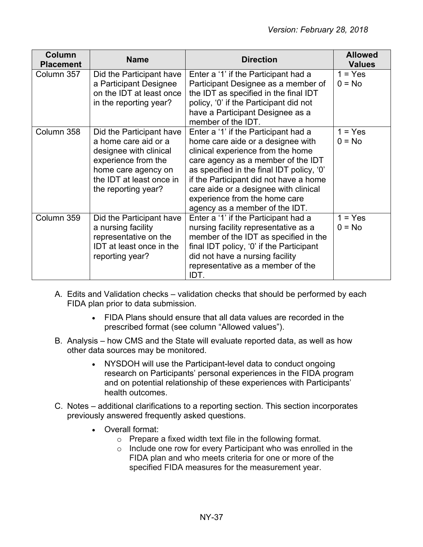| <b>Column</b><br><b>Placement</b> | <b>Name</b>                                                                                                                                                                 | <b>Direction</b>                                                                                                                                                                                                                                                                                                                                        | <b>Allowed</b><br><b>Values</b> |
|-----------------------------------|-----------------------------------------------------------------------------------------------------------------------------------------------------------------------------|---------------------------------------------------------------------------------------------------------------------------------------------------------------------------------------------------------------------------------------------------------------------------------------------------------------------------------------------------------|---------------------------------|
| Column 357                        | Did the Participant have<br>a Participant Designee<br>on the IDT at least once<br>in the reporting year?                                                                    | Enter a '1' if the Participant had a<br>Participant Designee as a member of<br>the IDT as specified in the final IDT<br>policy, '0' if the Participant did not<br>have a Participant Designee as a<br>member of the IDT.                                                                                                                                | $1 = Yes$<br>$0 = No$           |
| Column 358                        | Did the Participant have<br>a home care aid or a<br>designee with clinical<br>experience from the<br>home care agency on<br>the IDT at least once in<br>the reporting year? | Enter a '1' if the Participant had a<br>home care aide or a designee with<br>clinical experience from the home<br>care agency as a member of the IDT<br>as specified in the final IDT policy, '0'<br>if the Participant did not have a home<br>care aide or a designee with clinical<br>experience from the home care<br>agency as a member of the IDT. | $1 = Yes$<br>$0 = No$           |
| Column 359                        | Did the Participant have<br>a nursing facility<br>representative on the<br>IDT at least once in the<br>reporting year?                                                      | Enter a '1' if the Participant had a<br>nursing facility representative as a<br>member of the IDT as specified in the<br>final IDT policy, '0' if the Participant<br>did not have a nursing facility<br>representative as a member of the<br>IDT.                                                                                                       | $1 = Yes$<br>$0 = No$           |

- A. Edits and Validation checks validation checks that should be performed by each FIDA plan prior to data submission.
	- FIDA Plans should ensure that all data values are recorded in the prescribed format (see column "Allowed values").
- B. Analysis how CMS and the State will evaluate reported data, as well as how other data sources may be monitored.
	- NYSDOH will use the Participant-level data to conduct ongoing research on Participants' personal experiences in the FIDA program and on potential relationship of these experiences with Participants' health outcomes.
- C. Notes additional clarifications to a reporting section. This section incorporates previously answered frequently asked questions.
	- Overall format:
		- $\circ$  Prepare a fixed width text file in the following format.
		- o Include one row for every Participant who was enrolled in the FIDA plan and who meets criteria for one or more of the specified FIDA measures for the measurement year.